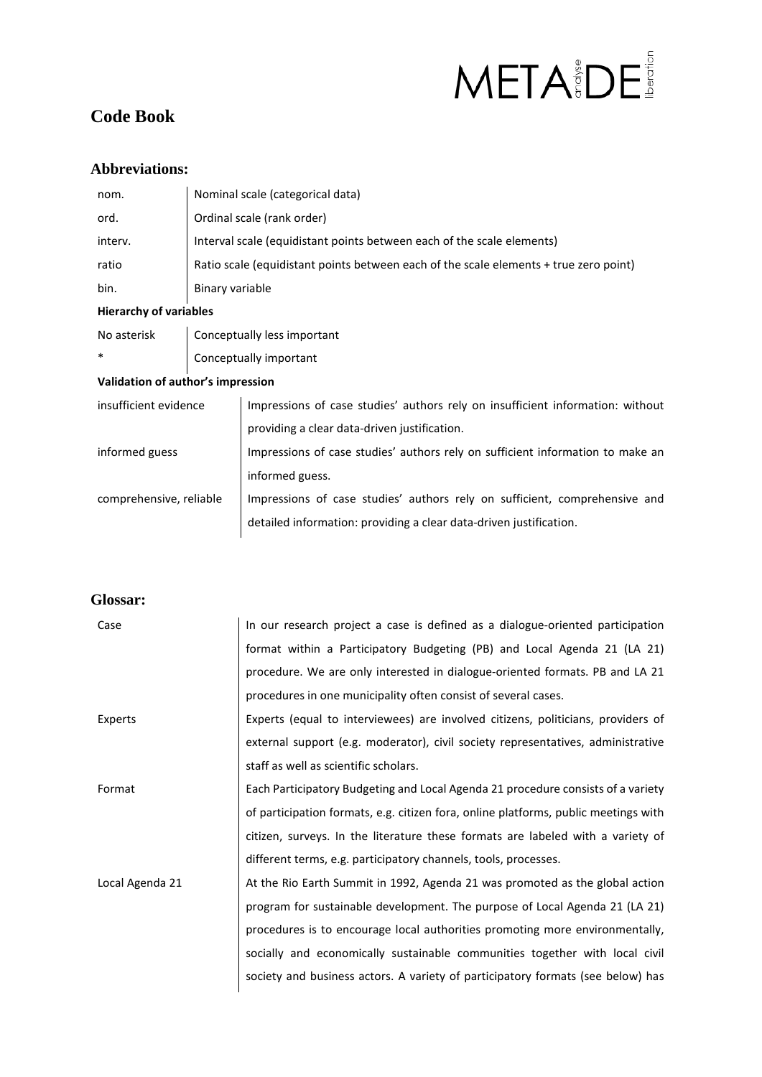# META BDE

# **Code Book**

#### **Abbreviations:**

| nom.    | Nominal scale (categorical data)                                                      |
|---------|---------------------------------------------------------------------------------------|
| ord.    | Ordinal scale (rank order)                                                            |
| interv. | Interval scale (equidistant points between each of the scale elements)                |
| ratio   | Ratio scale (equidistant points between each of the scale elements + true zero point) |
| bin.    | Binary variable                                                                       |

#### **Hierarchy of variables**

No asterisk | Conceptually less important \* Conceptually important

#### **Validation of author's impression**

| Impressions of case studies' authors rely on insufficient information: without |
|--------------------------------------------------------------------------------|
| providing a clear data-driven justification.                                   |
| Impressions of case studies' authors rely on sufficient information to make an |
| informed guess.                                                                |
| Impressions of case studies' authors rely on sufficient, comprehensive and     |
| detailed information: providing a clear data-driven justification.             |
|                                                                                |

#### **Glossar:**

| Case            | In our research project a case is defined as a dialogue-oriented participation      |
|-----------------|-------------------------------------------------------------------------------------|
|                 | format within a Participatory Budgeting (PB) and Local Agenda 21 (LA 21)            |
|                 | procedure. We are only interested in dialogue-oriented formats. PB and LA 21        |
|                 | procedures in one municipality often consist of several cases.                      |
| Experts         | Experts (equal to interviewees) are involved citizens, politicians, providers of    |
|                 | external support (e.g. moderator), civil society representatives, administrative    |
|                 | staff as well as scientific scholars.                                               |
| Format          | Each Participatory Budgeting and Local Agenda 21 procedure consists of a variety    |
|                 | of participation formats, e.g. citizen fora, online platforms, public meetings with |
|                 | citizen, surveys. In the literature these formats are labeled with a variety of     |
|                 | different terms, e.g. participatory channels, tools, processes.                     |
| Local Agenda 21 | At the Rio Earth Summit in 1992, Agenda 21 was promoted as the global action        |
|                 | program for sustainable development. The purpose of Local Agenda 21 (LA 21)         |
|                 | procedures is to encourage local authorities promoting more environmentally,        |
|                 | socially and economically sustainable communities together with local civil         |
|                 | society and business actors. A variety of participatory formats (see below) has     |
|                 |                                                                                     |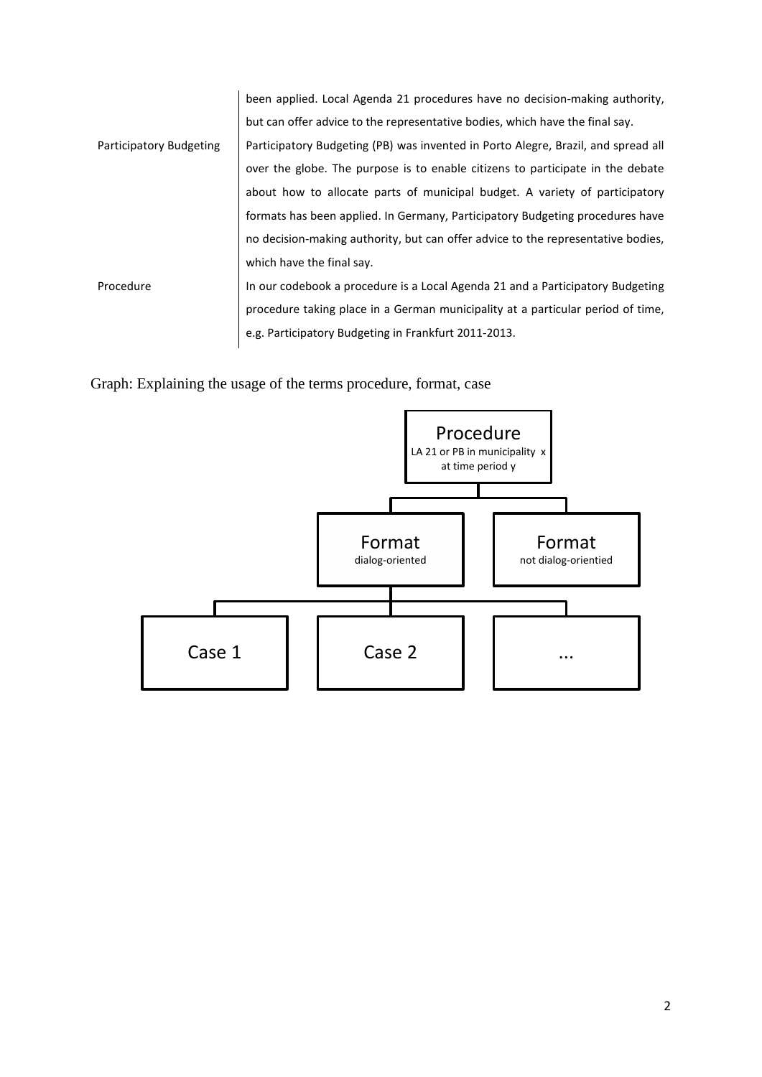|                         | been applied. Local Agenda 21 procedures have no decision-making authority,       |
|-------------------------|-----------------------------------------------------------------------------------|
|                         | but can offer advice to the representative bodies, which have the final say.      |
| Participatory Budgeting | Participatory Budgeting (PB) was invented in Porto Alegre, Brazil, and spread all |
|                         | over the globe. The purpose is to enable citizens to participate in the debate    |
|                         | about how to allocate parts of municipal budget. A variety of participatory       |
|                         | formats has been applied. In Germany, Participatory Budgeting procedures have     |
|                         | no decision-making authority, but can offer advice to the representative bodies,  |
|                         | which have the final say.                                                         |
| Procedure               | In our codebook a procedure is a Local Agenda 21 and a Participatory Budgeting    |
|                         | procedure taking place in a German municipality at a particular period of time,   |
|                         | e.g. Participatory Budgeting in Frankfurt 2011-2013.                              |
|                         |                                                                                   |

Graph: Explaining the usage of the terms procedure, format, case

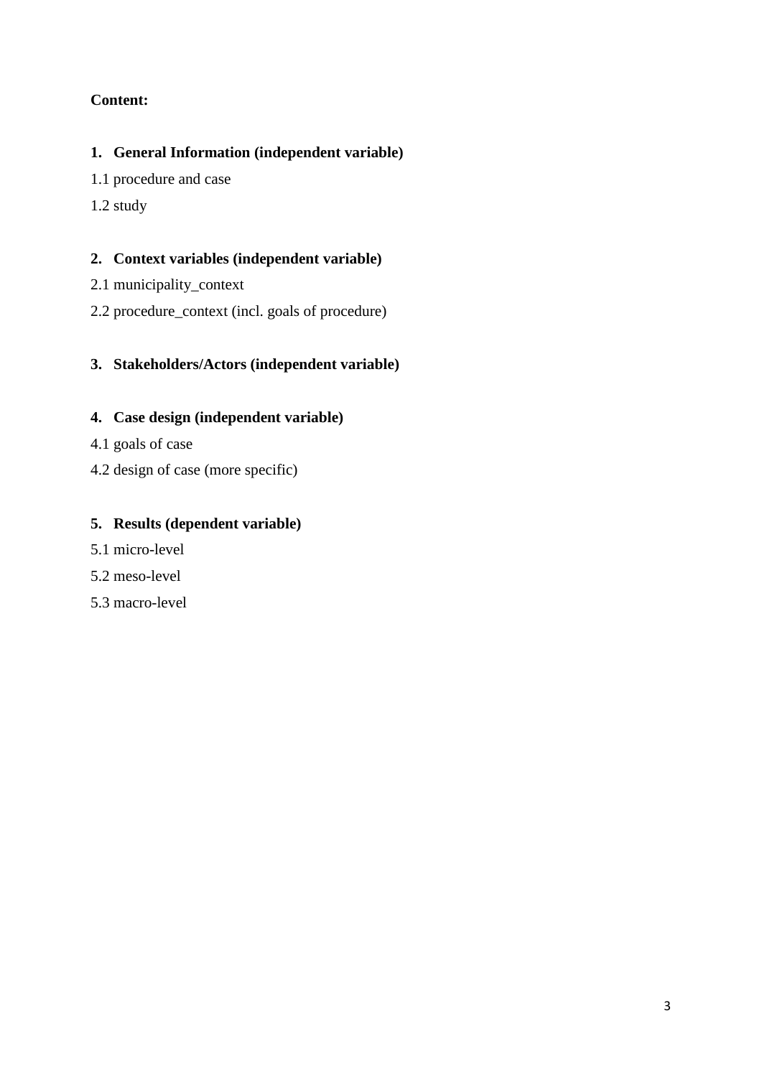#### **Content:**

#### **1. General Information (independent variable)**

- 1.1 procedure and case
- 1.2 study

#### **2. Context variables (independent variable)**

- 2.1 municipality\_context
- 2.2 procedure\_context (incl. goals of procedure)

#### **3. Stakeholders/Actors (independent variable)**

#### **4. Case design (independent variable)**

- 4.1 goals of case
- 4.2 design of case (more specific)

#### **5. Results (dependent variable)**

- 5.1 micro-level
- 5.2 meso-level
- 5.3 macro-level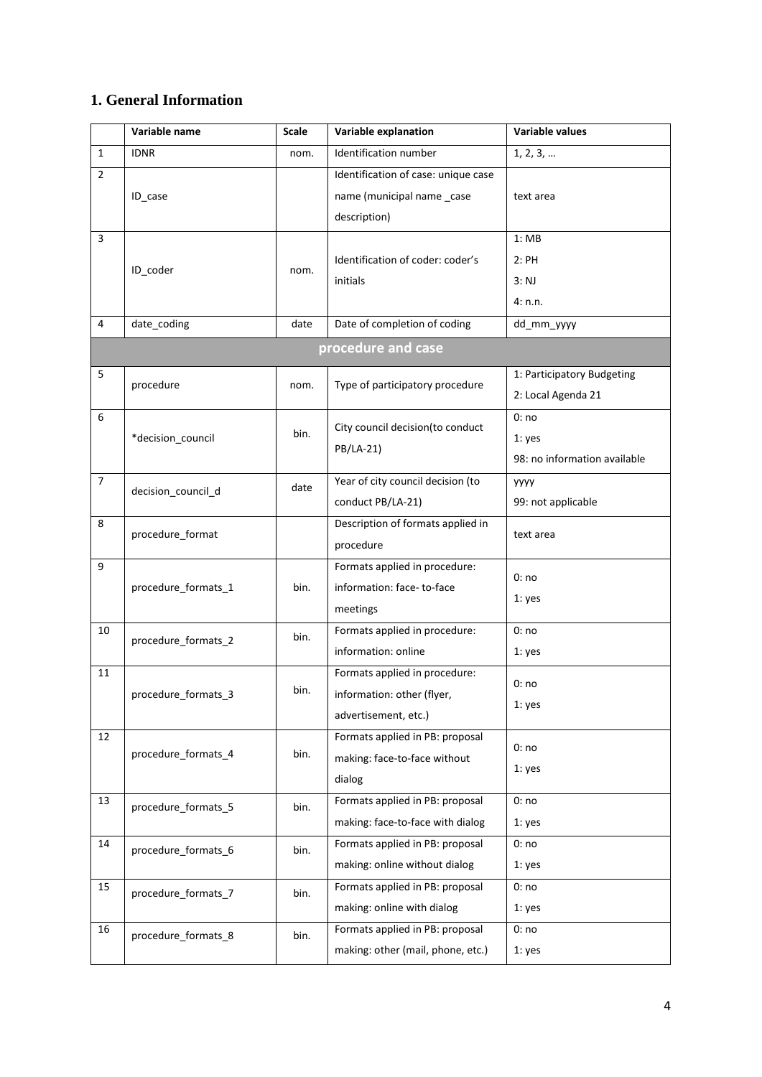## **1. General Information**

|                | Variable name       | <b>Scale</b> | Variable explanation                          | Variable values              |
|----------------|---------------------|--------------|-----------------------------------------------|------------------------------|
| $\mathbf{1}$   | <b>IDNR</b>         | nom.         | Identification number                         | 1, 2, 3,                     |
| $\overline{2}$ |                     |              | Identification of case: unique case           |                              |
|                | ID_case             |              | name (municipal name _case                    | text area                    |
|                |                     |              | description)                                  |                              |
| 3              |                     |              |                                               | 1:MB                         |
|                |                     |              | Identification of coder: coder's              | 2:PH                         |
|                | ID_coder            | nom.         | initials                                      | 3: NJ                        |
|                |                     |              |                                               | 4: n.n.                      |
| 4              | date_coding         | date         | Date of completion of coding                  | dd mm yyyy                   |
|                |                     |              | procedure and case                            |                              |
| 5              | procedure           | nom.         | Type of participatory procedure               | 1: Participatory Budgeting   |
|                |                     |              |                                               | 2: Local Agenda 21           |
| 6              |                     |              |                                               | 0:no                         |
|                | *decision council   | bin.         | City council decision(to conduct<br>PB/LA-21) | 1: yes                       |
|                |                     |              |                                               | 98: no information available |
| $\overline{7}$ | decision_council_d  | date         | Year of city council decision (to             | <b>YYYY</b>                  |
|                |                     |              | conduct PB/LA-21)                             | 99: not applicable           |
| 8              | procedure_format    |              | Description of formats applied in             | text area                    |
|                |                     |              | procedure                                     |                              |
| 9              |                     |              | Formats applied in procedure:                 | 0:no                         |
|                | procedure_formats_1 | bin.         | information: face-to-face                     | 1: yes                       |
|                |                     |              | meetings                                      |                              |
| 10             | procedure_formats_2 | bin.         | Formats applied in procedure:                 | 0:no                         |
|                |                     |              | information: online                           | 1: yes                       |
| 11             |                     |              | Formats applied in procedure:                 | 0:no                         |
|                | procedure_formats_3 | bin.         | information: other (flyer,                    | $1:$ yes                     |
|                |                     |              | advertisement, etc.)                          |                              |
| 12             |                     |              | Formats applied in PB: proposal               | 0:no                         |
|                | procedure_formats_4 | bin.         | making: face-to-face without                  | 1: yes                       |
|                |                     |              | dialog                                        |                              |
| 13             | procedure_formats_5 | bin.         | Formats applied in PB: proposal               | 0:no                         |
|                |                     |              | making: face-to-face with dialog              | 1: yes                       |
| 14             | procedure_formats_6 | bin.         | Formats applied in PB: proposal               | 0:no                         |
|                |                     |              | making: online without dialog                 | 1: yes                       |
| 15             | procedure_formats_7 | bin.         | Formats applied in PB: proposal               | 0:no                         |
|                |                     |              | making: online with dialog                    | 1: yes                       |
| 16             | procedure_formats_8 | bin.         | Formats applied in PB: proposal               | 0:no                         |
|                |                     |              | making: other (mail, phone, etc.)             | 1: yes                       |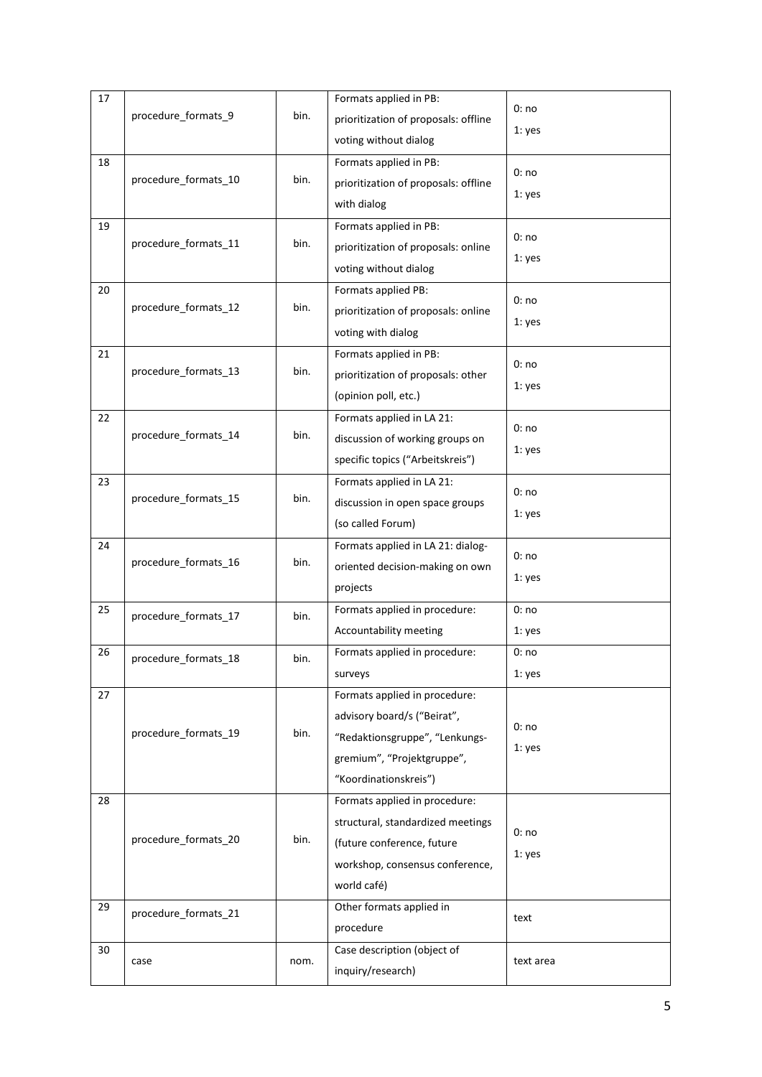| 17 |                      |      | Formats applied in PB:               | 0:no      |
|----|----------------------|------|--------------------------------------|-----------|
|    | procedure_formats_9  | bin. | prioritization of proposals: offline |           |
|    |                      |      | voting without dialog                | 1: yes    |
| 18 |                      |      | Formats applied in PB:               |           |
|    | procedure_formats_10 | bin. | prioritization of proposals: offline | 0:no      |
|    |                      |      | with dialog                          | 1: yes    |
| 19 |                      |      | Formats applied in PB:               |           |
|    | procedure_formats_11 | bin. |                                      | 0:no      |
|    |                      |      | prioritization of proposals: online  | 1: yes    |
|    |                      |      | voting without dialog                |           |
| 20 |                      |      | Formats applied PB:                  | 0:no      |
|    | procedure_formats_12 | bin. | prioritization of proposals: online  | 1: yes    |
|    |                      |      | voting with dialog                   |           |
| 21 |                      |      | Formats applied in PB:               |           |
|    | procedure_formats_13 | bin. | prioritization of proposals: other   | 0:no      |
|    |                      |      | (opinion poll, etc.)                 | 1: yes    |
| 22 |                      |      | Formats applied in LA 21:            |           |
|    | procedure_formats_14 | bin. | discussion of working groups on      | 0:no      |
|    |                      |      |                                      | 1: yes    |
|    |                      |      | specific topics ("Arbeitskreis")     |           |
| 23 |                      |      | Formats applied in LA 21:            | 0:no      |
|    | procedure_formats_15 | bin. | discussion in open space groups      | 1: yes    |
|    |                      |      | (so called Forum)                    |           |
| 24 |                      |      | Formats applied in LA 21: dialog-    | 0:no      |
|    | procedure_formats_16 | bin. | oriented decision-making on own      |           |
|    |                      |      | projects                             | 1: yes    |
| 25 |                      |      | Formats applied in procedure:        | 0:no      |
|    | procedure_formats_17 | bin. | Accountability meeting               | 1: yes    |
| 26 |                      |      | Formats applied in procedure:        | 0:no      |
|    | procedure_formats_18 | bin. |                                      |           |
|    |                      |      | surveys                              | 1: yes    |
| 27 |                      |      | Formats applied in procedure:        |           |
|    |                      |      | advisory board/s ("Beirat",          | 0:no      |
|    | procedure_formats_19 | bin. | "Redaktionsgruppe", "Lenkungs-       | 1: yes    |
|    |                      |      | gremium", "Projektgruppe",           |           |
|    |                      |      | "Koordinationskreis")                |           |
| 28 |                      |      | Formats applied in procedure:        |           |
|    |                      |      | structural, standardized meetings    |           |
|    | procedure_formats_20 | bin. | (future conference, future           | 0:no      |
|    |                      |      | workshop, consensus conference,      | 1: yes    |
|    |                      |      |                                      |           |
|    |                      |      | world café)                          |           |
| 29 | procedure_formats_21 |      | Other formats applied in             | text      |
|    |                      |      | procedure                            |           |
| 30 |                      |      | Case description (object of          |           |
|    | case                 | nom. |                                      | text area |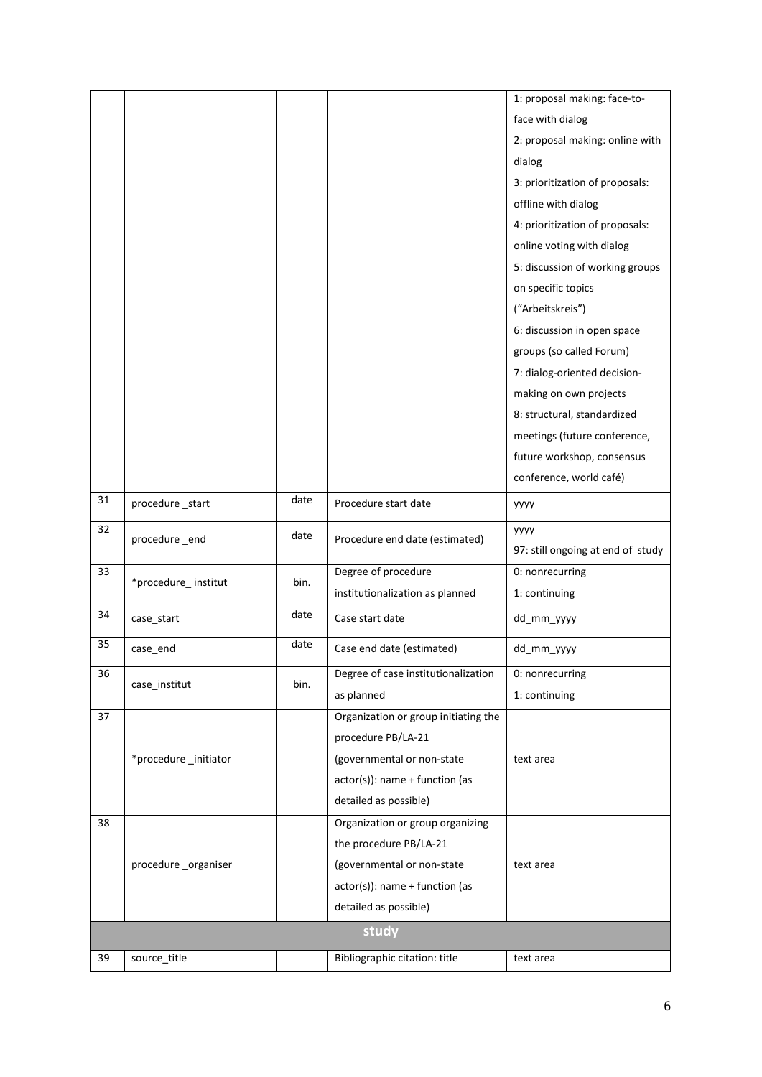|    |                      |      |                                      | 1: proposal making: face-to-      |
|----|----------------------|------|--------------------------------------|-----------------------------------|
|    |                      |      |                                      | face with dialog                  |
|    |                      |      |                                      | 2: proposal making: online with   |
|    |                      |      |                                      | dialog                            |
|    |                      |      |                                      | 3: prioritization of proposals:   |
|    |                      |      |                                      | offline with dialog               |
|    |                      |      |                                      | 4: prioritization of proposals:   |
|    |                      |      |                                      | online voting with dialog         |
|    |                      |      |                                      | 5: discussion of working groups   |
|    |                      |      |                                      | on specific topics                |
|    |                      |      |                                      | ("Arbeitskreis")                  |
|    |                      |      |                                      | 6: discussion in open space       |
|    |                      |      |                                      | groups (so called Forum)          |
|    |                      |      |                                      | 7: dialog-oriented decision-      |
|    |                      |      |                                      | making on own projects            |
|    |                      |      |                                      | 8: structural, standardized       |
|    |                      |      |                                      | meetings (future conference,      |
|    |                      |      |                                      | future workshop, consensus        |
|    |                      |      |                                      | conference, world café)           |
| 31 | procedure _start     | date | Procedure start date                 | уууу                              |
| 32 | procedure_end        | date | Procedure end date (estimated)       | уууу                              |
|    |                      |      |                                      | 97: still ongoing at end of study |
| 33 | *procedure_institut  | bin. | Degree of procedure                  | 0: nonrecurring                   |
|    |                      |      | institutionalization as planned      | 1: continuing                     |
| 34 | case_start           | date | Case start date                      | dd_mm_yyyy                        |
| 35 | case_end             | date | Case end date (estimated)            | dd_mm_yyyy                        |
| 36 | case_institut        | bin. | Degree of case institutionalization  | 0: nonrecurring                   |
|    |                      |      | as planned                           | 1: continuing                     |
| 37 |                      |      | Organization or group initiating the |                                   |
|    |                      |      | procedure PB/LA-21                   |                                   |
|    | *procedure_initiator |      | (governmental or non-state           | text area                         |
|    |                      |      | $actor(s)$ : name + function (as     |                                   |
|    |                      |      | detailed as possible)                |                                   |
| 38 |                      |      | Organization or group organizing     |                                   |
|    |                      |      | the procedure PB/LA-21               |                                   |
|    | procedure_organiser  |      | (governmental or non-state           | text area                         |
|    |                      |      | $actor(s)$ : name + function (as     |                                   |
|    |                      |      | detailed as possible)                |                                   |
|    |                      |      | study                                |                                   |
| 39 | source_title         |      | Bibliographic citation: title        | text area                         |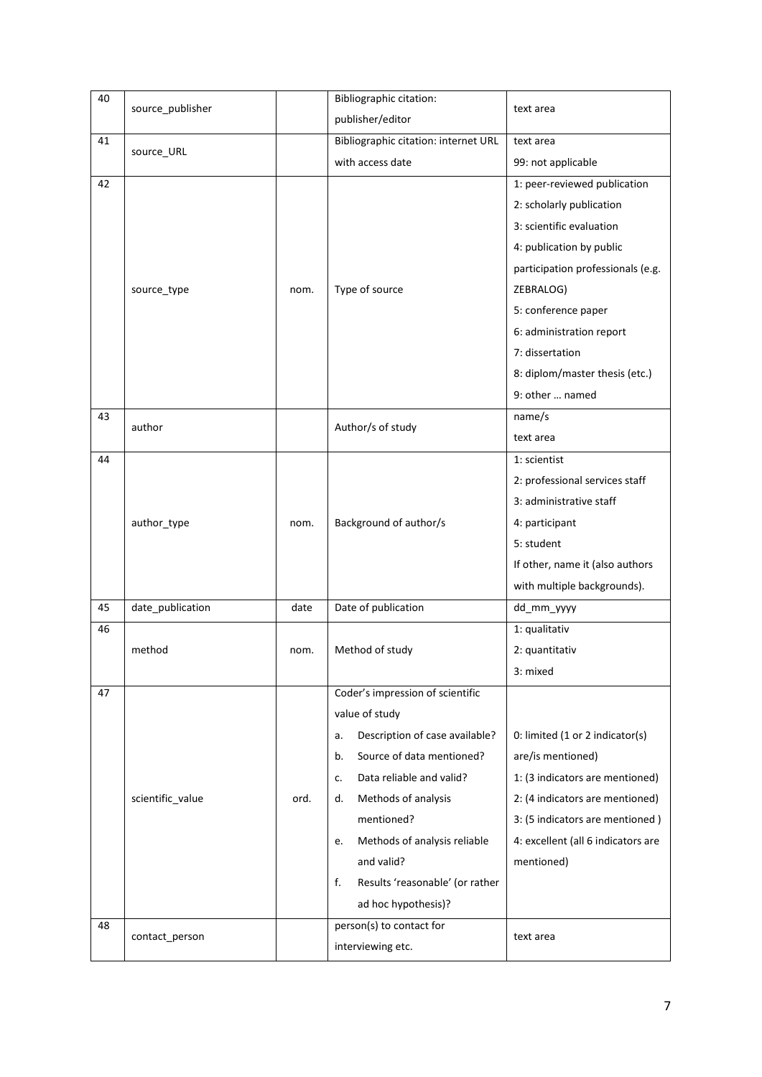| 40 | source_publisher |      | <b>Bibliographic citation:</b>        | text area                          |
|----|------------------|------|---------------------------------------|------------------------------------|
|    |                  |      | publisher/editor                      |                                    |
| 41 |                  |      | Bibliographic citation: internet URL  | text area                          |
|    | source_URL       |      | with access date                      | 99: not applicable                 |
| 42 |                  |      |                                       | 1: peer-reviewed publication       |
|    |                  |      |                                       | 2: scholarly publication           |
|    |                  |      |                                       | 3: scientific evaluation           |
|    |                  |      |                                       | 4: publication by public           |
|    |                  |      |                                       | participation professionals (e.g.  |
|    | source_type      | nom. | Type of source                        | ZEBRALOG)                          |
|    |                  |      |                                       | 5: conference paper                |
|    |                  |      |                                       | 6: administration report           |
|    |                  |      |                                       | 7: dissertation                    |
|    |                  |      |                                       | 8: diplom/master thesis (etc.)     |
|    |                  |      |                                       | 9: other  named                    |
| 43 |                  |      |                                       | name/s                             |
|    | author           |      | Author/s of study                     | text area                          |
| 44 |                  |      |                                       | 1: scientist                       |
|    |                  |      |                                       | 2: professional services staff     |
|    | author_type      | nom. |                                       | 3: administrative staff            |
|    |                  |      | Background of author/s                | 4: participant                     |
|    |                  |      |                                       | 5: student                         |
|    |                  |      |                                       | If other, name it (also authors    |
|    |                  |      |                                       | with multiple backgrounds).        |
| 45 | date_publication | date | Date of publication                   | dd_mm_yyyy                         |
| 46 |                  |      |                                       | 1: qualitativ                      |
|    | method           | nom. | Method of study                       | 2: quantitativ                     |
|    |                  |      |                                       | 3: mixed                           |
| 47 |                  |      | Coder's impression of scientific      |                                    |
|    |                  |      | value of study                        |                                    |
|    |                  |      | Description of case available?<br>a.  | 0: limited (1 or 2 indicator(s)    |
|    |                  |      | Source of data mentioned?<br>b.       | are/is mentioned)                  |
|    |                  |      | Data reliable and valid?<br>c.        | 1: (3 indicators are mentioned)    |
|    | scientific_value | ord. | Methods of analysis<br>d.             | 2: (4 indicators are mentioned)    |
|    |                  |      | mentioned?                            | 3: (5 indicators are mentioned)    |
|    |                  |      | Methods of analysis reliable<br>е.    | 4: excellent (all 6 indicators are |
|    |                  |      | and valid?                            | mentioned)                         |
|    |                  |      | f.<br>Results 'reasonable' (or rather |                                    |
|    |                  |      | ad hoc hypothesis)?                   |                                    |
| 48 |                  |      | person(s) to contact for              |                                    |
|    | contact_person   |      | interviewing etc.                     | text area                          |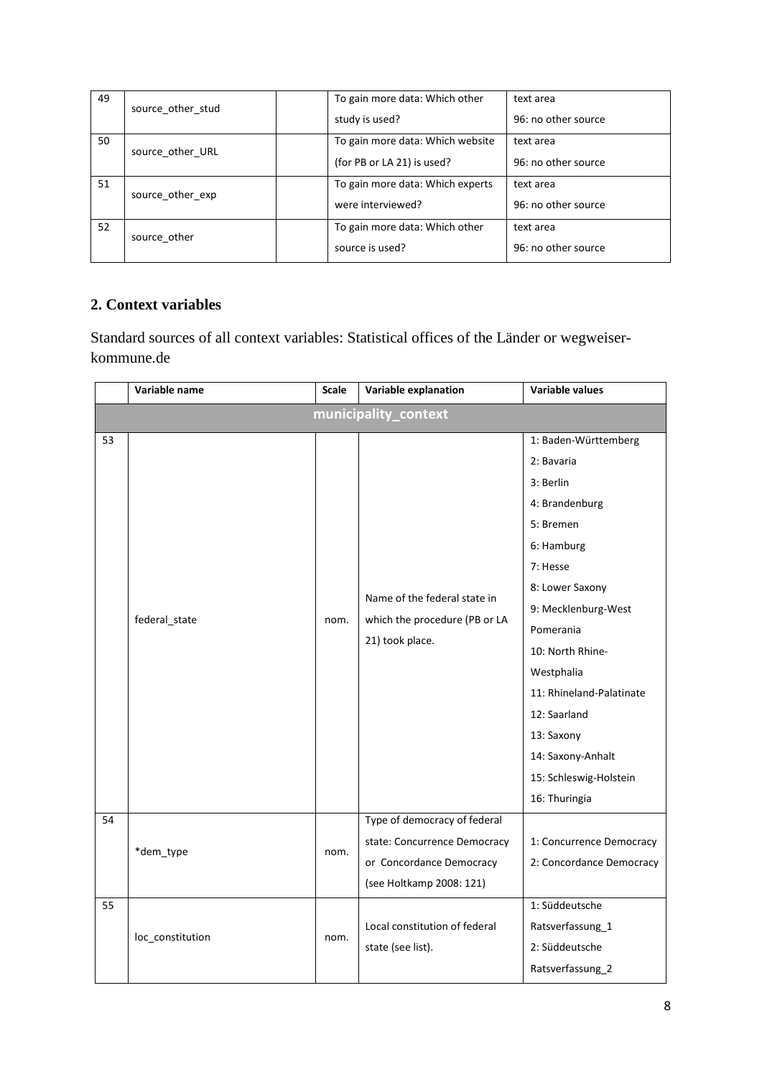| 49 | source_other_stud | To gain more data: Which other<br>study is used?               | text area<br>96: no other source |
|----|-------------------|----------------------------------------------------------------|----------------------------------|
| 50 | source other URL  | To gain more data: Which website<br>(for PB or LA 21) is used? | text area<br>96: no other source |
| 51 | source other exp  | To gain more data: Which experts<br>were interviewed?          | text area<br>96: no other source |
| 52 | source other      | To gain more data: Which other<br>source is used?              | text area<br>96: no other source |

## **2. Context variables**

Standard sources of all context variables: Statistical offices of the Länder or wegweiserkommune.de

|    | Variable name        | Scale | Variable explanation          | <b>Variable values</b>   |  |  |  |
|----|----------------------|-------|-------------------------------|--------------------------|--|--|--|
|    | municipality_context |       |                               |                          |  |  |  |
| 53 |                      |       |                               | 1: Baden-Württemberg     |  |  |  |
|    |                      |       |                               | 2: Bavaria               |  |  |  |
|    |                      |       |                               | 3: Berlin                |  |  |  |
|    |                      |       |                               | 4: Brandenburg           |  |  |  |
|    |                      |       |                               | 5: Bremen                |  |  |  |
|    |                      |       |                               | 6: Hamburg               |  |  |  |
|    |                      |       |                               | 7: Hesse                 |  |  |  |
|    |                      |       | Name of the federal state in  | 8: Lower Saxony          |  |  |  |
|    |                      | nom.  | which the procedure (PB or LA | 9: Mecklenburg-West      |  |  |  |
|    | federal_state        |       | 21) took place.               | Pomerania                |  |  |  |
|    |                      |       |                               | 10: North Rhine-         |  |  |  |
|    |                      |       |                               | Westphalia               |  |  |  |
|    |                      |       |                               | 11: Rhineland-Palatinate |  |  |  |
|    |                      |       |                               | 12: Saarland             |  |  |  |
|    |                      |       |                               | 13: Saxony               |  |  |  |
|    |                      |       |                               | 14: Saxony-Anhalt        |  |  |  |
|    |                      |       |                               | 15: Schleswig-Holstein   |  |  |  |
|    |                      |       |                               | 16: Thuringia            |  |  |  |
| 54 |                      |       | Type of democracy of federal  |                          |  |  |  |
|    | *dem_type            | nom.  | state: Concurrence Democracy  | 1: Concurrence Democracy |  |  |  |
|    |                      |       | or Concordance Democracy      | 2: Concordance Democracy |  |  |  |
|    |                      |       | (see Holtkamp 2008: 121)      |                          |  |  |  |
| 55 |                      |       |                               | 1: Süddeutsche           |  |  |  |
|    | loc_constitution     | nom.  | Local constitution of federal | Ratsverfassung_1         |  |  |  |
|    |                      |       | state (see list).             | 2: Süddeutsche           |  |  |  |
|    |                      |       |                               | Ratsverfassung_2         |  |  |  |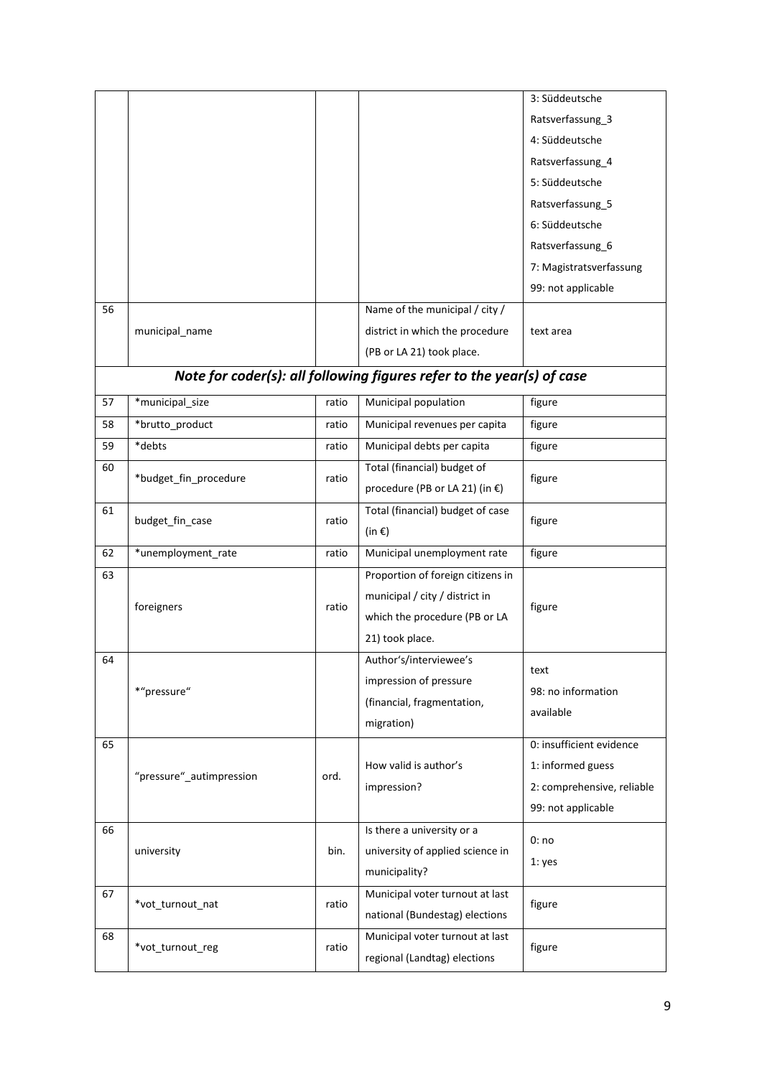|    |                          |       |                                                                       | 3: Süddeutsche             |
|----|--------------------------|-------|-----------------------------------------------------------------------|----------------------------|
|    |                          |       |                                                                       | Ratsverfassung_3           |
|    |                          |       |                                                                       | 4: Süddeutsche             |
|    |                          |       |                                                                       | Ratsverfassung_4           |
|    |                          |       |                                                                       | 5: Süddeutsche             |
|    |                          |       |                                                                       | Ratsverfassung_5           |
|    |                          |       |                                                                       | 6: Süddeutsche             |
|    |                          |       |                                                                       | Ratsverfassung 6           |
|    |                          |       |                                                                       | 7: Magistratsverfassung    |
|    |                          |       |                                                                       | 99: not applicable         |
| 56 |                          |       | Name of the municipal / city /                                        |                            |
|    | municipal_name           |       | district in which the procedure                                       | text area                  |
|    |                          |       | (PB or LA 21) took place.                                             |                            |
|    |                          |       | Note for coder(s): all following figures refer to the year(s) of case |                            |
|    |                          |       |                                                                       |                            |
| 57 | *municipal size          | ratio | Municipal population                                                  | figure                     |
| 58 | *brutto product          | ratio | Municipal revenues per capita                                         | figure                     |
| 59 | *debts                   | ratio | Municipal debts per capita                                            | figure                     |
| 60 | *budget_fin_procedure    | ratio | Total (financial) budget of                                           | figure                     |
|    |                          |       | procedure (PB or LA 21) (in €)                                        |                            |
| 61 |                          | ratio | Total (financial) budget of case                                      | figure                     |
|    | budget_fin_case          |       | (in $\epsilon$ )                                                      |                            |
| 62 | *unemployment_rate       | ratio | Municipal unemployment rate                                           | figure                     |
| 63 |                          |       | Proportion of foreign citizens in                                     |                            |
|    |                          |       | municipal / city / district in                                        |                            |
|    | foreigners               | ratio | which the procedure (PB or LA                                         | figure                     |
|    |                          |       | 21) took place.                                                       |                            |
| 64 |                          |       | Author's/interviewee's                                                |                            |
|    |                          |       | impression of pressure                                                | text                       |
|    | *"pressure"              |       | (financial, fragmentation,                                            | 98: no information         |
|    |                          |       | migration)                                                            | available                  |
| 65 |                          |       |                                                                       | 0: insufficient evidence   |
|    |                          |       | How valid is author's                                                 | 1: informed guess          |
|    | "pressure"_autimpression | ord.  |                                                                       | 2: comprehensive, reliable |
|    |                          |       | impression?                                                           |                            |
|    |                          |       |                                                                       | 99: not applicable         |
| 66 |                          |       | Is there a university or a                                            | 0:no                       |
|    | university               | bin.  | university of applied science in                                      | 1: yes                     |
|    |                          |       | municipality?                                                         |                            |
| 67 | *vot_turnout_nat         | ratio | Municipal voter turnout at last                                       | figure                     |
|    |                          |       | national (Bundestag) elections                                        |                            |
| 68 |                          | ratio | Municipal voter turnout at last                                       |                            |
|    | *vot_turnout_reg         |       | regional (Landtag) elections                                          | figure                     |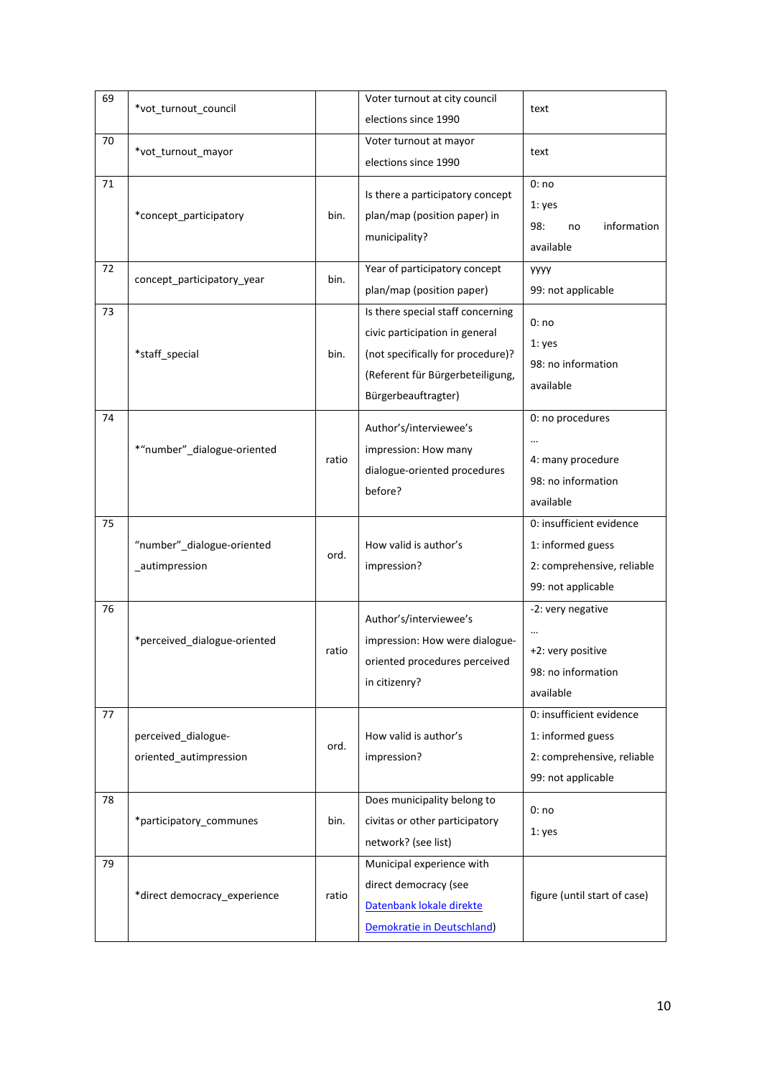| 69 | *vot_turnout_council         |       | Voter turnout at city council     | text                               |
|----|------------------------------|-------|-----------------------------------|------------------------------------|
|    |                              |       | elections since 1990              |                                    |
| 70 | *vot_turnout_mayor           |       | Voter turnout at mayor            | text                               |
|    |                              |       | elections since 1990              |                                    |
| 71 |                              |       | Is there a participatory concept  | 0:no                               |
|    | *concept_participatory       | bin.  | plan/map (position paper) in      | 1: yes<br>98:<br>information<br>no |
|    |                              |       | municipality?                     | available                          |
| 72 |                              |       | Year of participatory concept     | yyyy                               |
|    | concept participatory year   | bin.  | plan/map (position paper)         | 99: not applicable                 |
| 73 |                              |       | Is there special staff concerning |                                    |
|    |                              |       | civic participation in general    | 0:no                               |
|    | *staff_special               | bin.  | (not specifically for procedure)? | 1: yes                             |
|    |                              |       | (Referent für Bürgerbeteiligung,  | 98: no information                 |
|    |                              |       |                                   | available                          |
|    |                              |       | Bürgerbeauftragter)               |                                    |
| 74 |                              |       | Author's/interviewee's            | 0: no procedures                   |
|    | *"number"_dialogue-oriented  |       | impression: How many              |                                    |
|    |                              | ratio | dialogue-oriented procedures      | 4: many procedure                  |
|    |                              |       | before?                           | 98: no information                 |
|    |                              |       |                                   | available                          |
| 75 |                              |       |                                   | 0: insufficient evidence           |
|    | "number"_dialogue-oriented   | ord.  | How valid is author's             | 1: informed guess                  |
|    | _autimpression               |       | impression?                       | 2: comprehensive, reliable         |
|    |                              |       |                                   | 99: not applicable                 |
| 76 |                              |       | Author's/interviewee's            | -2: very negative                  |
|    | *perceived_dialogue-oriented |       | impression: How were dialogue-    |                                    |
|    |                              | ratio | oriented procedures perceived     | +2: very positive                  |
|    |                              |       | in citizenry?                     | 98: no information                 |
|    |                              |       |                                   | available                          |
| 77 |                              |       |                                   | 0: insufficient evidence           |
|    | perceived dialogue-          | ord.  | How valid is author's             | 1: informed guess                  |
|    | oriented_autimpression       |       | impression?                       | 2: comprehensive, reliable         |
|    |                              |       |                                   | 99: not applicable                 |
| 78 |                              |       | Does municipality belong to       |                                    |
|    | *participatory communes      | bin.  | civitas or other participatory    | 0:no                               |
|    |                              |       | network? (see list)               | 1: yes                             |
| 79 |                              |       | Municipal experience with         |                                    |
|    |                              |       | direct democracy (see             |                                    |
|    | *direct democracy_experience | ratio |                                   | figure (until start of case)       |
|    |                              |       | Datenbank lokale direkte          |                                    |
|    |                              |       | Demokratie in Deutschland)        |                                    |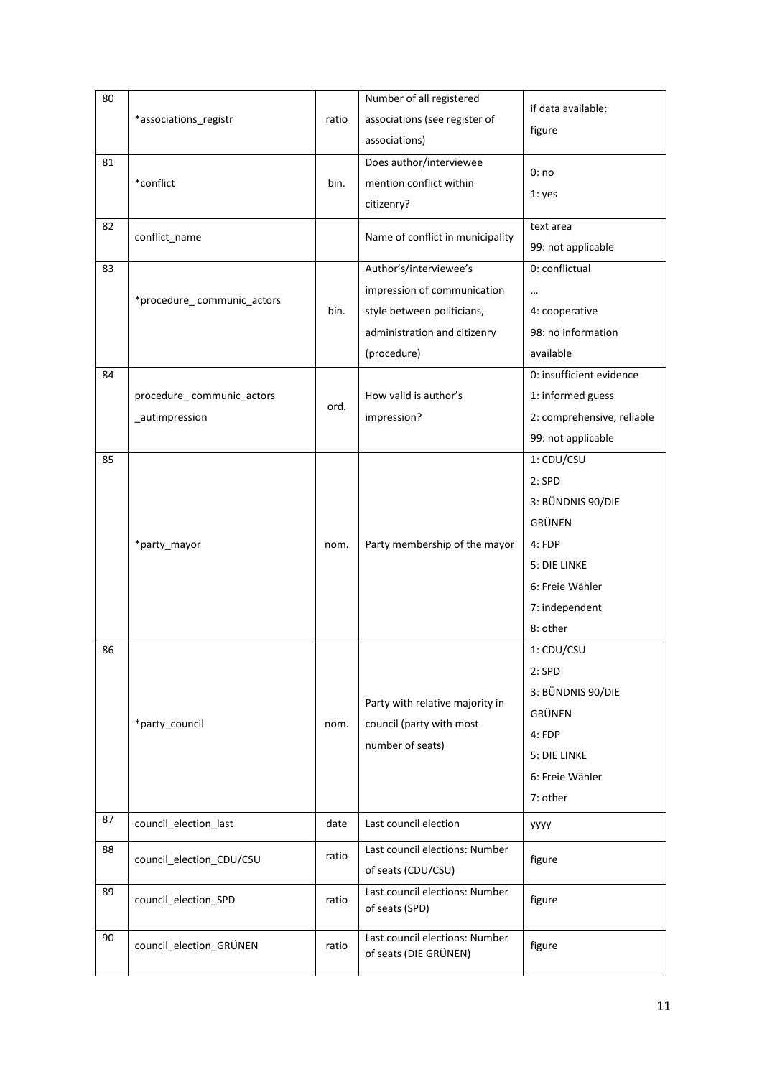| 80 |                            |       | Number of all registered         | if data available:         |
|----|----------------------------|-------|----------------------------------|----------------------------|
|    | *associations_registr      | ratio | associations (see register of    |                            |
|    |                            |       | associations)                    | figure                     |
| 81 |                            |       | Does author/interviewee          |                            |
|    | *conflict                  | bin.  | mention conflict within          | 0:no                       |
|    |                            |       | citizenry?                       | 1: yes                     |
| 82 |                            |       |                                  | text area                  |
|    | conflict_name              |       | Name of conflict in municipality | 99: not applicable         |
| 83 |                            |       | Author's/interviewee's           | 0: conflictual             |
|    |                            |       | impression of communication      | $\cdots$                   |
|    | *procedure_communic_actors | bin.  | style between politicians,       | 4: cooperative             |
|    |                            |       | administration and citizenry     | 98: no information         |
|    |                            |       | (procedure)                      | available                  |
| 84 |                            |       |                                  | 0: insufficient evidence   |
|    | procedure communic actors  |       | How valid is author's            | 1: informed guess          |
|    | autimpression              | ord.  | impression?                      | 2: comprehensive, reliable |
|    |                            |       |                                  | 99: not applicable         |
| 85 |                            |       |                                  | 1: CDU/CSU                 |
|    |                            |       |                                  | 2:SPD                      |
|    |                            |       |                                  | 3: BÜNDNIS 90/DIE          |
|    |                            |       |                                  | GRÜNEN                     |
|    | *party_mayor               | nom.  | Party membership of the mayor    | 4: FDP                     |
|    |                            |       |                                  | 5: DIE LINKE               |
|    |                            |       |                                  | 6: Freie Wähler            |
|    |                            |       |                                  | 7: independent             |
|    |                            |       |                                  | 8: other                   |
| 86 |                            |       |                                  | 1: CDU/CSU                 |
|    |                            |       |                                  | 2:SPD                      |
|    |                            |       |                                  | 3: BÜNDNIS 90/DIE          |
|    |                            |       | Party with relative majority in  | GRÜNEN                     |
|    | *party council             | nom.  | council (party with most         | 4: FDP                     |
|    |                            |       | number of seats)                 | 5: DIE LINKE               |
|    |                            |       |                                  | 6: Freie Wähler            |
|    |                            |       |                                  | 7: other                   |
|    |                            |       |                                  |                            |
| 87 | council_election_last      | date  | Last council election            | yyyy                       |
| 88 | council_election_CDU/CSU   | ratio | Last council elections: Number   | figure                     |
|    |                            |       | of seats (CDU/CSU)               |                            |
| 89 | council_election_SPD       | ratio | Last council elections: Number   | figure                     |
|    |                            |       | of seats (SPD)                   |                            |
| 90 | council_election_GRÜNEN    | ratio | Last council elections: Number   | figure                     |
|    |                            |       | of seats (DIE GRÜNEN)            |                            |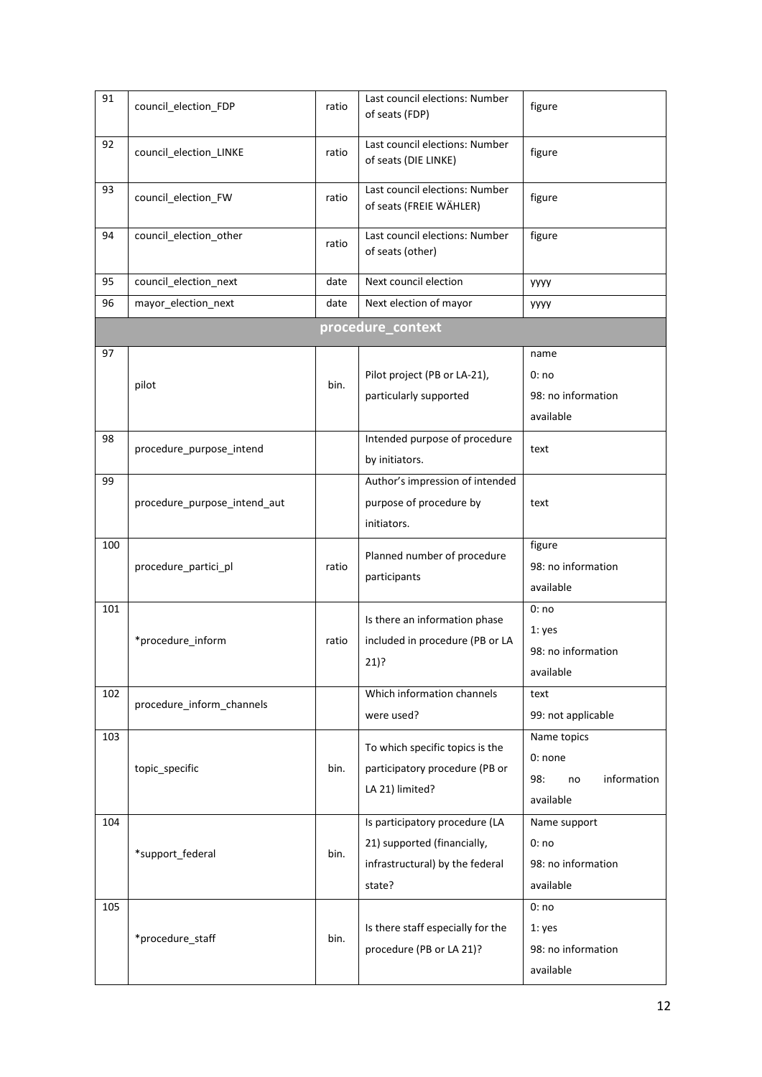| 91  | council_election_FDP         | ratio | Last council elections: Number<br>of seats (FDP)                                                           | figure                                                          |
|-----|------------------------------|-------|------------------------------------------------------------------------------------------------------------|-----------------------------------------------------------------|
| 92  | council_election_LINKE       | ratio | Last council elections: Number<br>of seats (DIE LINKE)                                                     | figure                                                          |
| 93  | council_election_FW          | ratio | Last council elections: Number<br>of seats (FREIE WÄHLER)                                                  | figure                                                          |
| 94  | council_election_other       | ratio | Last council elections: Number<br>of seats (other)                                                         | figure                                                          |
| 95  | council_election_next        | date  | Next council election                                                                                      | <b>YYYY</b>                                                     |
| 96  | mayor_election_next          | date  | Next election of mayor                                                                                     | <b>YYYY</b>                                                     |
|     |                              |       | procedure_context                                                                                          |                                                                 |
| 97  |                              |       |                                                                                                            | name                                                            |
|     | pilot                        | bin.  | Pilot project (PB or LA-21),                                                                               | 0:no                                                            |
|     |                              |       | particularly supported                                                                                     | 98: no information                                              |
|     |                              |       |                                                                                                            | available                                                       |
| 98  | procedure purpose intend     |       | Intended purpose of procedure<br>by initiators.                                                            | text                                                            |
| 99  | procedure purpose intend aut |       | Author's impression of intended<br>purpose of procedure by<br>initiators.                                  | text                                                            |
| 100 | procedure_partici_pl         | ratio | Planned number of procedure<br>participants                                                                | figure<br>98: no information<br>available                       |
| 101 | *procedure_inform            | ratio | Is there an information phase<br>included in procedure (PB or LA<br>21)?                                   | 0:no<br>1: yes<br>98: no information<br>available               |
| 102 | procedure_inform_channels    |       | Which information channels<br>were used?                                                                   | text<br>99: not applicable                                      |
| 103 | topic_specific               | bin.  | To which specific topics is the<br>participatory procedure (PB or<br>LA 21) limited?                       | Name topics<br>0: none<br>98:<br>information<br>no<br>available |
| 104 | *support_federal             | bin.  | Is participatory procedure (LA<br>21) supported (financially,<br>infrastructural) by the federal<br>state? | Name support<br>0:no<br>98: no information<br>available         |
| 105 | *procedure_staff             | bin.  | Is there staff especially for the<br>procedure (PB or LA 21)?                                              | 0:no<br>1: yes<br>98: no information<br>available               |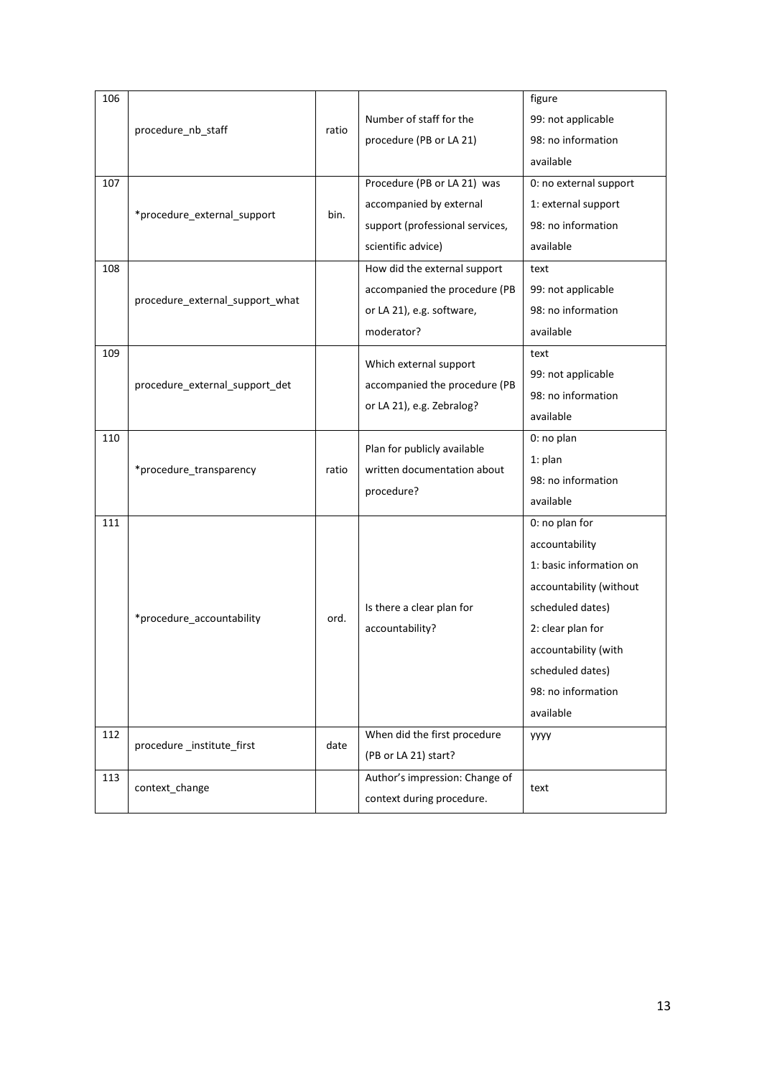| 106 |                                 |       |                                           | figure                  |
|-----|---------------------------------|-------|-------------------------------------------|-------------------------|
|     | procedure_nb_staff              | ratio | Number of staff for the                   | 99: not applicable      |
|     |                                 |       | procedure (PB or LA 21)                   | 98: no information      |
|     |                                 |       |                                           | available               |
| 107 |                                 |       | Procedure (PB or LA 21) was               | 0: no external support  |
|     | *procedure_external_support     | bin.  | accompanied by external                   | 1: external support     |
|     |                                 |       | support (professional services,           | 98: no information      |
|     |                                 |       | scientific advice)                        | available               |
| 108 |                                 |       | How did the external support              | text                    |
|     |                                 |       | accompanied the procedure (PB             | 99: not applicable      |
|     | procedure_external_support_what |       | or LA 21), e.g. software,                 | 98: no information      |
|     |                                 |       | moderator?                                | available               |
| 109 |                                 |       | Which external support                    | text                    |
|     |                                 |       |                                           | 99: not applicable      |
|     | procedure_external_support_det  |       | accompanied the procedure (PB             | 98: no information      |
|     |                                 |       | or LA 21), e.g. Zebralog?                 | available               |
| 110 |                                 |       | Plan for publicly available               | 0: no plan              |
|     |                                 | ratio | written documentation about<br>procedure? | $1:$ plan               |
|     | *procedure_transparency         |       |                                           | 98: no information      |
|     |                                 |       |                                           | available               |
| 111 |                                 |       |                                           | 0: no plan for          |
|     |                                 |       |                                           | accountability          |
|     |                                 |       |                                           | 1: basic information on |
|     |                                 |       |                                           | accountability (without |
|     |                                 | ord.  | Is there a clear plan for                 | scheduled dates)        |
|     | *procedure_accountability       |       | accountability?                           | 2: clear plan for       |
|     |                                 |       |                                           | accountability (with    |
|     |                                 |       |                                           | scheduled dates)        |
|     |                                 |       |                                           | 98: no information      |
|     |                                 |       |                                           | available               |
| 112 | procedure_institute_first       | date  | When did the first procedure              | <b>YYYY</b>             |
|     |                                 |       | (PB or LA 21) start?                      |                         |
| 113 | context change                  |       | Author's impression: Change of            | text                    |
|     |                                 |       | context during procedure.                 |                         |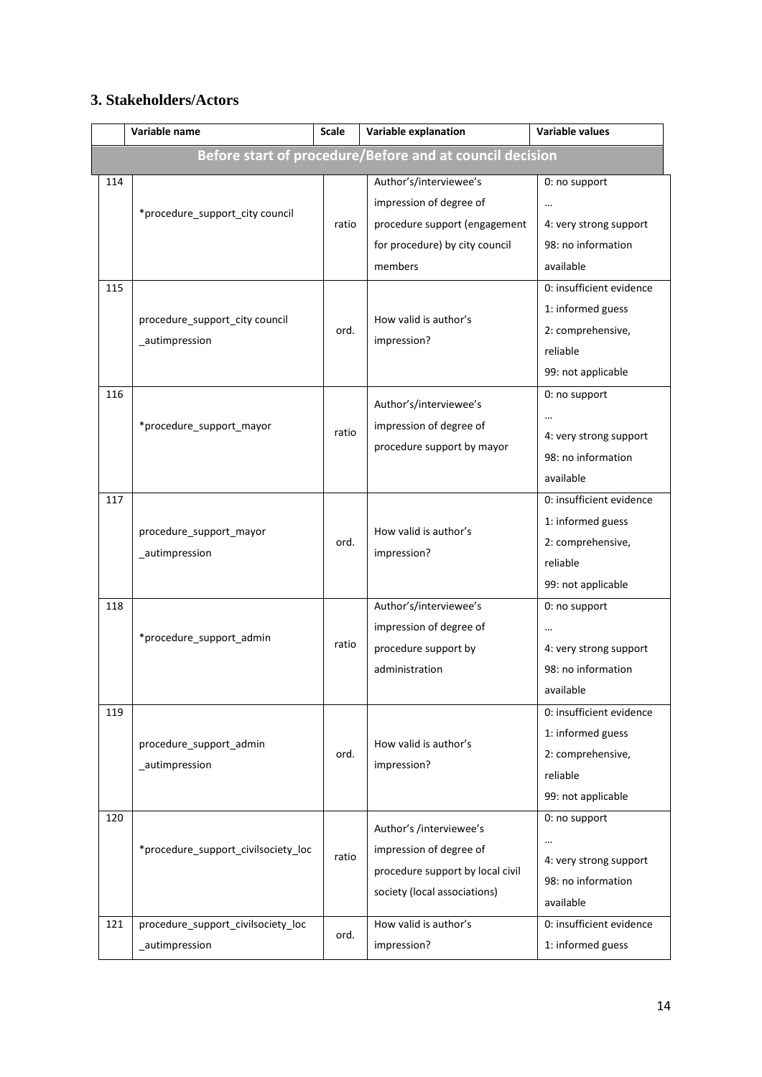## **3. Stakeholders/Actors**

|     | Variable name                                        | <b>Scale</b> | Variable explanation                                                                                                            | Variable values                                                                                      |
|-----|------------------------------------------------------|--------------|---------------------------------------------------------------------------------------------------------------------------------|------------------------------------------------------------------------------------------------------|
|     |                                                      |              | Before start of procedure/Before and at council decision                                                                        |                                                                                                      |
| 114 | *procedure support city council                      | ratio        | Author's/interviewee's<br>impression of degree of<br>procedure support (engagement<br>for procedure) by city council<br>members | 0: no support<br>$\cdots$<br>4: very strong support<br>98: no information<br>available               |
| 115 | procedure_support_city council<br>_autimpression     | ord.         | How valid is author's<br>impression?                                                                                            | 0: insufficient evidence<br>1: informed guess<br>2: comprehensive,<br>reliable<br>99: not applicable |
| 116 | *procedure support mayor                             | ratio        | Author's/interviewee's<br>impression of degree of<br>procedure support by mayor                                                 | 0: no support<br>4: very strong support<br>98: no information<br>available                           |
| 117 | procedure support mayor<br>_autimpression            | ord.         | How valid is author's<br>impression?                                                                                            | 0: insufficient evidence<br>1: informed guess<br>2: comprehensive,<br>reliable<br>99: not applicable |
| 118 | *procedure_support_admin                             | ratio        | Author's/interviewee's<br>impression of degree of<br>procedure support by<br>administration                                     | 0: no support<br>$\cdots$<br>4: very strong support<br>98: no information<br>available               |
| 119 | procedure_support_admin<br>_autimpression            | ord.         | How valid is author's<br>impression?                                                                                            | 0: insufficient evidence<br>1: informed guess<br>2: comprehensive,<br>reliable<br>99: not applicable |
| 120 | *procedure support civilsociety loc                  | ratio        | Author's /interviewee's<br>impression of degree of<br>procedure support by local civil<br>society (local associations)          | 0: no support<br>$\cdots$<br>4: very strong support<br>98: no information<br>available               |
| 121 | procedure_support_civilsociety_loc<br>_autimpression | ord.         | How valid is author's<br>impression?                                                                                            | 0: insufficient evidence<br>1: informed guess                                                        |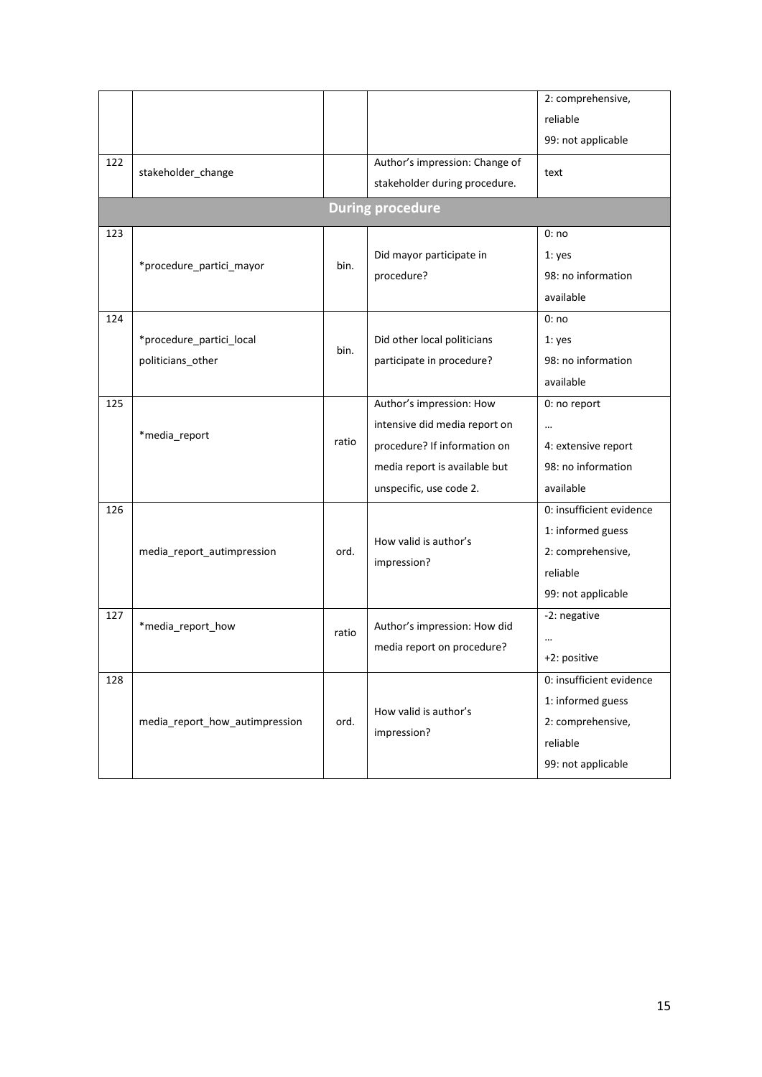|     |                                |       |                                | 2: comprehensive,        |
|-----|--------------------------------|-------|--------------------------------|--------------------------|
|     |                                |       |                                | reliable                 |
|     |                                |       |                                | 99: not applicable       |
| 122 |                                |       | Author's impression: Change of |                          |
|     | stakeholder_change             |       | stakeholder during procedure.  | text                     |
|     |                                |       | <b>During procedure</b>        |                          |
| 123 |                                |       |                                | 0:no                     |
|     |                                |       | Did mayor participate in       | 1: yes                   |
|     | *procedure partici mayor       | bin.  | procedure?                     | 98: no information       |
|     |                                |       |                                | available                |
| 124 |                                |       |                                | 0:no                     |
|     | *procedure partici local       | bin.  | Did other local politicians    | 1: yes                   |
|     | politicians_other              |       | participate in procedure?      | 98: no information       |
|     |                                |       |                                | available                |
| 125 |                                |       | Author's impression: How       | 0: no report             |
|     | *media_report                  | ratio | intensive did media report on  |                          |
|     |                                |       | procedure? If information on   | 4: extensive report      |
|     |                                |       | media report is available but  | 98: no information       |
|     |                                |       | unspecific, use code 2.        | available                |
| 126 |                                |       |                                | 0: insufficient evidence |
|     |                                |       | How valid is author's          | 1: informed guess        |
|     | media_report_autimpression     | ord.  |                                | 2: comprehensive,        |
|     |                                |       | impression?                    | reliable                 |
|     |                                |       |                                | 99: not applicable       |
| 127 | *media_report_how              |       | Author's impression: How did   | -2: negative             |
|     |                                | ratio | media report on procedure?     |                          |
|     |                                |       |                                | +2: positive             |
| 128 |                                |       |                                | 0: insufficient evidence |
|     |                                |       | How valid is author's          | 1: informed guess        |
|     | media_report_how_autimpression | ord.  |                                | 2: comprehensive,        |
|     |                                |       | impression?                    | reliable                 |
|     |                                |       |                                | 99: not applicable       |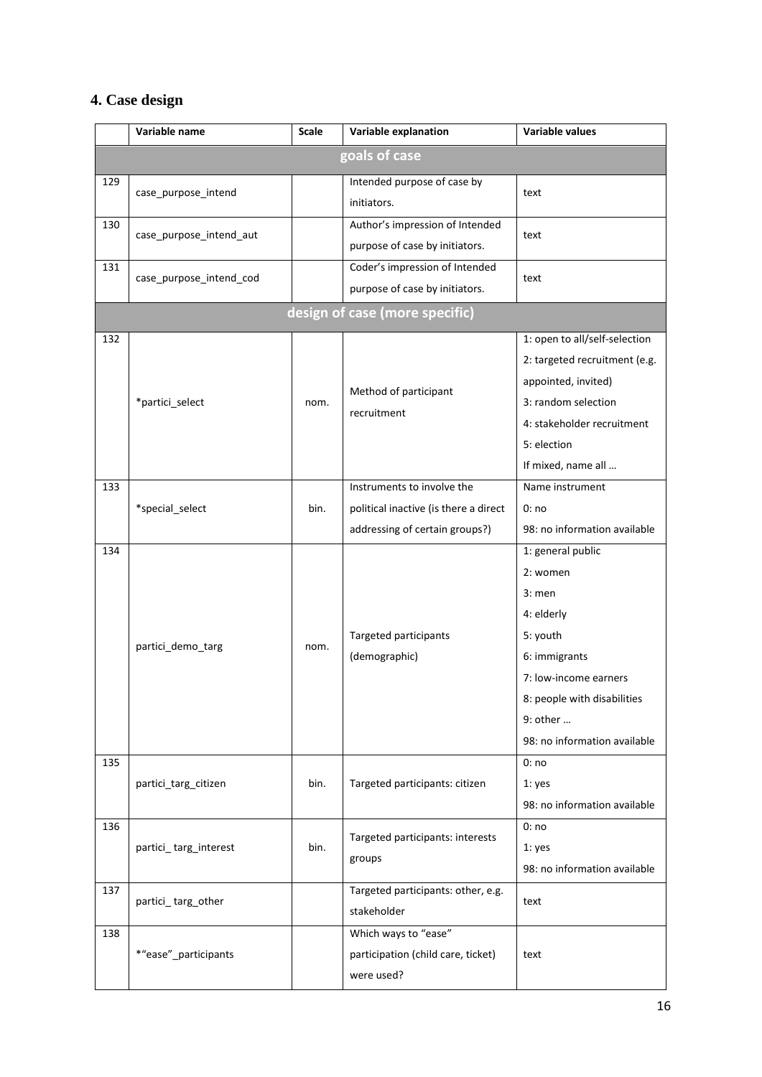# **4. Case design**

|     | Variable name           | <b>Scale</b> | Variable explanation                  | <b>Variable values</b>        |
|-----|-------------------------|--------------|---------------------------------------|-------------------------------|
|     |                         |              | goals of case                         |                               |
| 129 | case_purpose_intend     |              | Intended purpose of case by           | text                          |
|     |                         |              | initiators.                           |                               |
| 130 | case_purpose_intend_aut |              | Author's impression of Intended       | text                          |
|     |                         |              | purpose of case by initiators.        |                               |
| 131 | case_purpose_intend_cod |              | Coder's impression of Intended        | text                          |
|     |                         |              | purpose of case by initiators.        |                               |
|     |                         |              | design of case (more specific)        |                               |
| 132 |                         |              |                                       | 1: open to all/self-selection |
|     |                         |              |                                       | 2: targeted recruitment (e.g. |
|     |                         |              |                                       | appointed, invited)           |
|     | *partici_select<br>nom. |              | Method of participant<br>recruitment  | 3: random selection           |
|     |                         |              |                                       | 4: stakeholder recruitment    |
|     |                         |              |                                       | 5: election                   |
|     |                         |              |                                       | If mixed, name all            |
| 133 |                         |              | Instruments to involve the            | Name instrument               |
|     | *special_select         | bin.         | political inactive (is there a direct | 0:no                          |
|     |                         |              | addressing of certain groups?)        | 98: no information available  |
| 134 |                         |              |                                       | 1: general public             |
|     |                         |              |                                       | 2: women                      |
|     |                         |              |                                       | $3:$ men                      |
|     |                         |              |                                       | 4: elderly                    |
|     |                         | nom.         | Targeted participants                 | 5: youth                      |
|     | partici_demo_targ       |              | (demographic)                         | 6: immigrants                 |
|     |                         |              |                                       | 7: low-income earners         |
|     |                         |              |                                       | 8: people with disabilities   |
|     |                         |              |                                       | 9: other                      |
|     |                         |              |                                       | 98: no information available  |
| 135 |                         |              |                                       | 0:no                          |
|     | partici_targ_citizen    | bin.         | Targeted participants: citizen        | 1: yes                        |
|     |                         |              |                                       | 98: no information available  |
| 136 |                         |              | Targeted participants: interests      | 0:no                          |
|     | partici_targ_interest   | bin.         | groups                                | 1: yes                        |
|     |                         |              |                                       | 98: no information available  |
| 137 | partici_targ_other      |              | Targeted participants: other, e.g.    | text                          |
|     |                         |              | stakeholder                           |                               |
| 138 |                         |              | Which ways to "ease"                  |                               |
|     | *"ease"_participants    |              | participation (child care, ticket)    | text                          |
|     |                         |              | were used?                            |                               |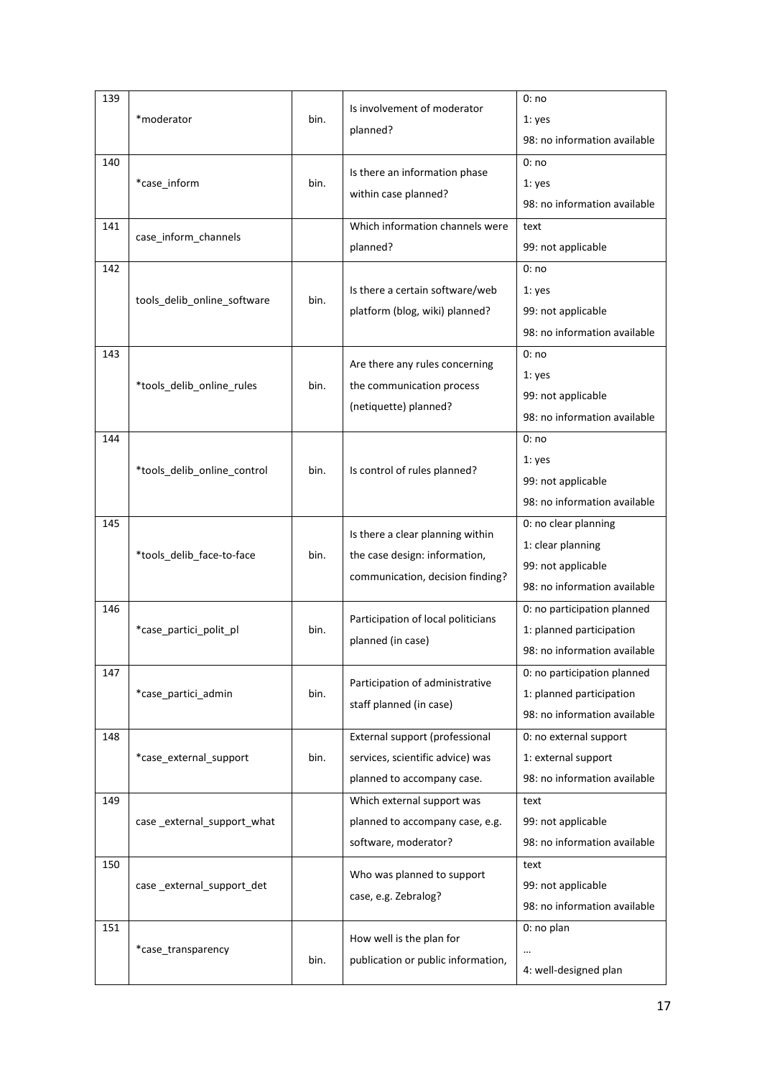| 139 |                                     |      | Is involvement of moderator<br>planned?                           | 0:no                         |
|-----|-------------------------------------|------|-------------------------------------------------------------------|------------------------------|
|     | *moderator                          | bin. |                                                                   | 1: yes                       |
|     |                                     |      |                                                                   | 98: no information available |
| 140 |                                     |      | Is there an information phase                                     | 0:no                         |
|     | *case_inform                        | bin. | within case planned?                                              | 1: yes                       |
|     |                                     |      |                                                                   | 98: no information available |
| 141 |                                     |      | Which information channels were                                   | text                         |
|     | case_inform_channels                |      | planned?                                                          | 99: not applicable           |
| 142 |                                     |      |                                                                   | 0:no                         |
|     |                                     |      | Is there a certain software/web                                   | 1: yes                       |
|     | tools_delib_online_software         | bin. | platform (blog, wiki) planned?                                    | 99: not applicable           |
|     |                                     |      |                                                                   | 98: no information available |
| 143 |                                     |      |                                                                   | 0:no                         |
|     |                                     |      | Are there any rules concerning                                    | 1: yes                       |
|     | *tools_delib_online_rules           | bin. | the communication process                                         | 99: not applicable           |
|     |                                     |      | (netiquette) planned?                                             | 98: no information available |
| 144 |                                     |      |                                                                   | 0:no                         |
|     |                                     |      |                                                                   | 1: yes                       |
|     | *tools_delib_online_control<br>bin. |      | Is control of rules planned?                                      | 99: not applicable           |
|     |                                     |      |                                                                   | 98: no information available |
| 145 |                                     |      |                                                                   | 0: no clear planning         |
|     |                                     | bin. | Is there a clear planning within<br>the case design: information, | 1: clear planning            |
|     | *tools_delib_face-to-face           |      |                                                                   | 99: not applicable           |
|     |                                     |      | communication, decision finding?                                  | 98: no information available |
| 146 |                                     |      |                                                                   | 0: no participation planned  |
|     | *case_partici_polit_pl              | bin. | Participation of local politicians                                | 1: planned participation     |
|     |                                     |      | planned (in case)                                                 | 98: no information available |
| 147 |                                     |      |                                                                   | 0: no participation planned  |
|     | *case_partici_admin                 | bin. | Participation of administrative                                   | 1: planned participation     |
|     |                                     |      | staff planned (in case)                                           | 98: no information available |
| 148 |                                     |      | External support (professional                                    | 0: no external support       |
|     | *case_external_support              | bin. | services, scientific advice) was                                  | 1: external support          |
|     |                                     |      | planned to accompany case.                                        | 98: no information available |
| 149 |                                     |      | Which external support was                                        | text                         |
|     | case external support what          |      | planned to accompany case, e.g.                                   | 99: not applicable           |
|     |                                     |      | software, moderator?                                              | 98: no information available |
| 150 |                                     |      | Who was planned to support                                        | text                         |
|     | case external support det           |      | case, e.g. Zebralog?                                              | 99: not applicable           |
|     |                                     |      |                                                                   | 98: no information available |
| 151 |                                     |      | How well is the plan for                                          | 0: no plan                   |
|     | *case transparency                  | bin. | publication or public information,                                |                              |
|     |                                     |      |                                                                   | 4: well-designed plan        |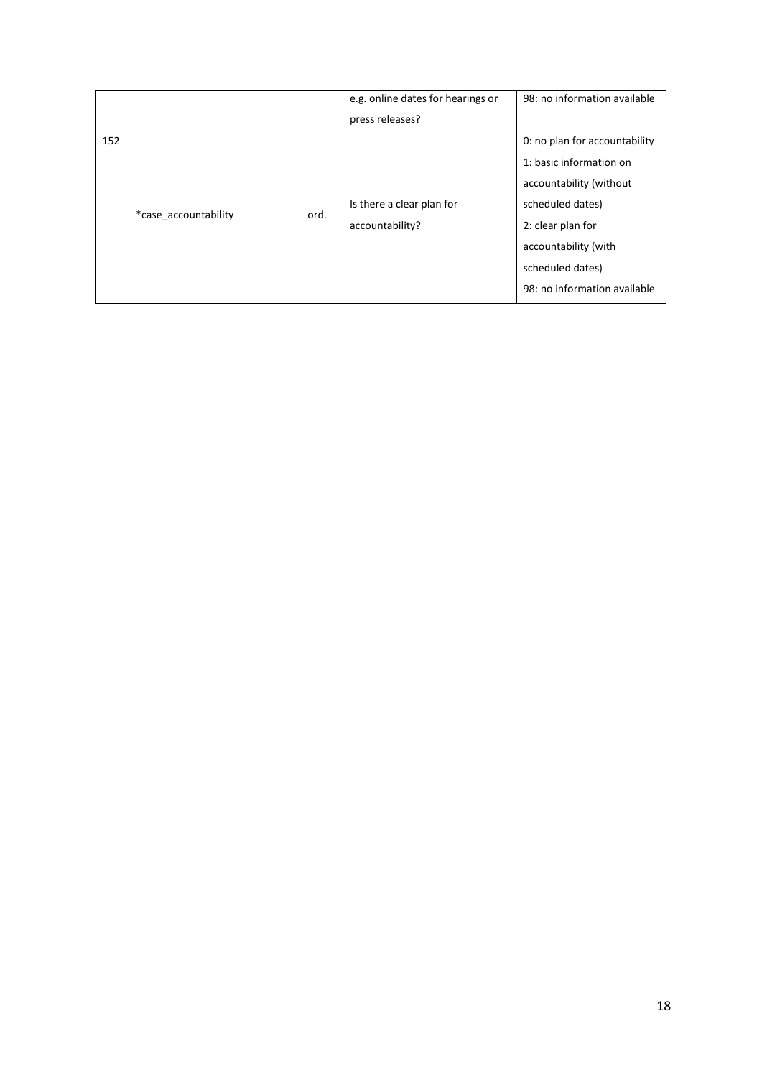|     |                      |      | e.g. online dates for hearings or | 98: no information available  |
|-----|----------------------|------|-----------------------------------|-------------------------------|
|     |                      |      | press releases?                   |                               |
| 152 |                      |      |                                   | 0: no plan for accountability |
|     |                      |      |                                   | 1: basic information on       |
|     |                      |      |                                   | accountability (without       |
|     | *case accountability | ord. | Is there a clear plan for         | scheduled dates)              |
|     |                      |      | accountability?                   | 2: clear plan for             |
|     |                      |      |                                   | accountability (with          |
|     |                      |      |                                   | scheduled dates)              |
|     |                      |      |                                   | 98: no information available  |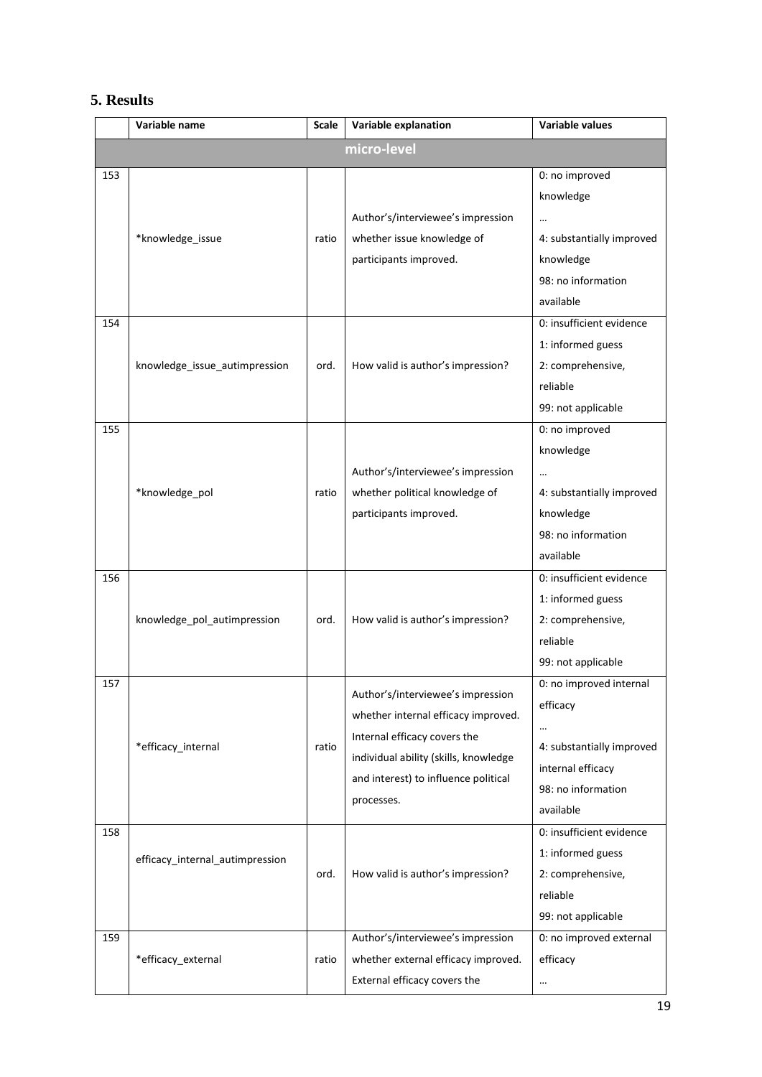## **5. Results**

|     | Variable name                   | Scale | Variable explanation                  | Variable values             |
|-----|---------------------------------|-------|---------------------------------------|-----------------------------|
|     |                                 |       | micro-level                           |                             |
| 153 |                                 |       |                                       | 0: no improved<br>knowledge |
|     |                                 |       | Author's/interviewee's impression     | $\ddotsc$                   |
|     | *knowledge_issue                | ratio | whether issue knowledge of            | 4: substantially improved   |
|     |                                 |       | participants improved.                | knowledge                   |
|     |                                 |       |                                       | 98: no information          |
|     |                                 |       |                                       | available                   |
| 154 |                                 |       |                                       | 0: insufficient evidence    |
|     |                                 |       |                                       | 1: informed guess           |
|     | knowledge issue autimpression   | ord.  | How valid is author's impression?     | 2: comprehensive,           |
|     |                                 |       |                                       | reliable                    |
|     |                                 |       |                                       | 99: not applicable          |
| 155 |                                 |       |                                       | 0: no improved              |
|     |                                 |       |                                       | knowledge                   |
|     |                                 |       | Author's/interviewee's impression     | $\cdots$                    |
|     | *knowledge_pol                  | ratio | whether political knowledge of        | 4: substantially improved   |
|     |                                 |       | participants improved.                | knowledge                   |
|     |                                 |       |                                       | 98: no information          |
|     |                                 |       |                                       | available                   |
| 156 |                                 |       |                                       | 0: insufficient evidence    |
|     |                                 |       |                                       | 1: informed guess           |
|     | knowledge_pol_autimpression     | ord.  | How valid is author's impression?     | 2: comprehensive,           |
|     |                                 |       |                                       | reliable                    |
|     |                                 |       |                                       | 99: not applicable          |
| 157 |                                 |       | Author's/interviewee's impression     | 0: no improved internal     |
|     |                                 |       | whether internal efficacy improved.   | efficacy                    |
|     |                                 |       | Internal efficacy covers the          |                             |
|     | *efficacy_internal              | ratio | individual ability (skills, knowledge | 4: substantially improved   |
|     |                                 |       | and interest) to influence political  | internal efficacy           |
|     |                                 |       | processes.                            | 98: no information          |
|     |                                 |       |                                       | available                   |
| 158 |                                 |       |                                       | 0: insufficient evidence    |
|     | efficacy_internal_autimpression |       |                                       | 1: informed guess           |
|     |                                 | ord.  | How valid is author's impression?     | 2: comprehensive,           |
|     |                                 |       |                                       | reliable                    |
|     |                                 |       |                                       | 99: not applicable          |
| 159 |                                 |       | Author's/interviewee's impression     | 0: no improved external     |
|     | *efficacy_external              | ratio | whether external efficacy improved.   | efficacy                    |
|     |                                 |       | External efficacy covers the          | $\cdots$                    |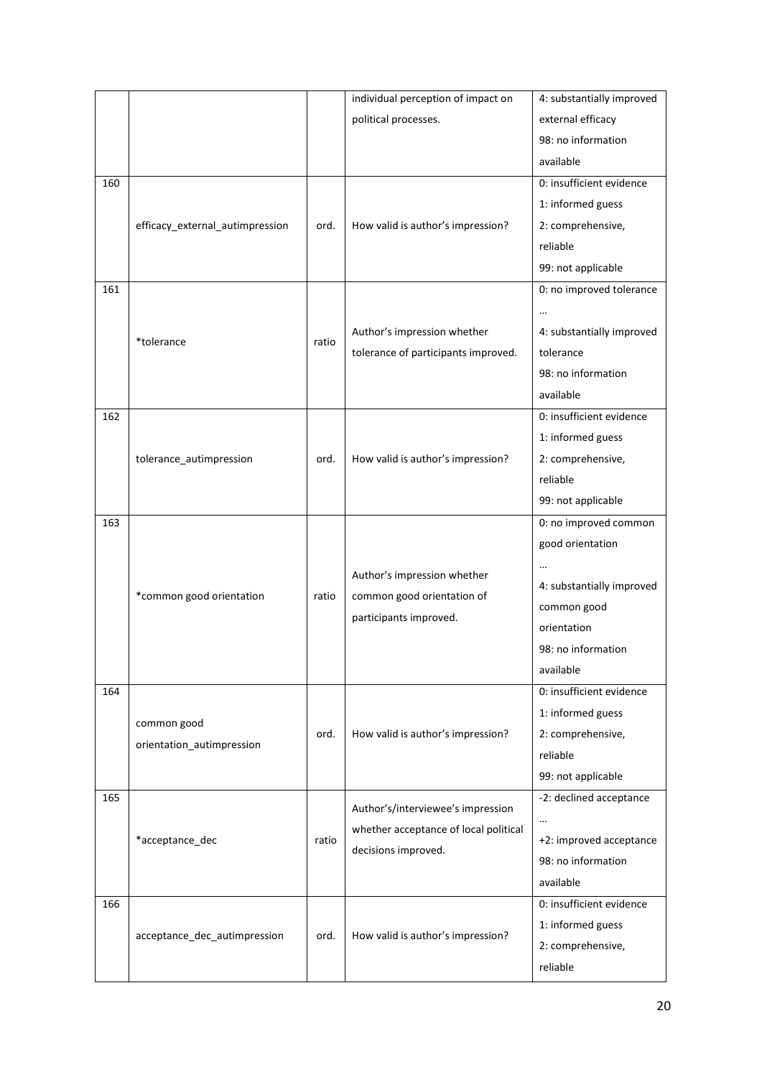|     |                                 |       | individual perception of impact on                        | 4: substantially improved |
|-----|---------------------------------|-------|-----------------------------------------------------------|---------------------------|
|     |                                 |       | political processes.                                      | external efficacy         |
|     |                                 |       |                                                           | 98: no information        |
|     |                                 |       |                                                           | available                 |
| 160 |                                 |       |                                                           | 0: insufficient evidence  |
|     |                                 |       |                                                           | 1: informed guess         |
|     | efficacy_external_autimpression | ord.  | How valid is author's impression?                         | 2: comprehensive,         |
|     |                                 |       |                                                           | reliable                  |
|     |                                 |       |                                                           | 99: not applicable        |
| 161 |                                 |       |                                                           | 0: no improved tolerance  |
|     |                                 |       |                                                           |                           |
|     |                                 |       | Author's impression whether                               | 4: substantially improved |
|     | *tolerance                      | ratio | tolerance of participants improved.                       | tolerance                 |
|     |                                 |       |                                                           | 98: no information        |
|     |                                 |       |                                                           | available                 |
| 162 |                                 |       |                                                           | 0: insufficient evidence  |
|     |                                 |       |                                                           | 1: informed guess         |
|     | tolerance_autimpression         | ord.  | How valid is author's impression?                         | 2: comprehensive,         |
|     |                                 |       |                                                           | reliable                  |
|     |                                 |       |                                                           | 99: not applicable        |
| 163 |                                 |       |                                                           | 0: no improved common     |
|     |                                 |       |                                                           | good orientation          |
|     |                                 |       |                                                           |                           |
|     | *common good orientation        | ratio | Author's impression whether<br>common good orientation of | 4: substantially improved |
|     |                                 |       |                                                           | common good               |
|     |                                 |       | participants improved.                                    | orientation               |
|     |                                 |       |                                                           | 98: no information        |
|     |                                 |       |                                                           | available                 |
| 164 |                                 |       |                                                           | 0: insufficient evidence  |
|     | common good                     |       |                                                           | 1: informed guess         |
|     | orientation autimpression       | ord.  | How valid is author's impression?                         | 2: comprehensive,         |
|     |                                 |       |                                                           | reliable                  |
|     |                                 |       |                                                           | 99: not applicable        |
| 165 |                                 |       |                                                           | -2: declined acceptance   |
|     |                                 |       | Author's/interviewee's impression                         | $\cdots$                  |
|     | *acceptance_dec                 | ratio | whether acceptance of local political                     | +2: improved acceptance   |
|     |                                 |       | decisions improved.                                       | 98: no information        |
|     |                                 |       |                                                           | available                 |
| 166 |                                 |       |                                                           | 0: insufficient evidence  |
|     |                                 |       |                                                           | 1: informed guess         |
|     | acceptance_dec_autimpression    | ord.  | How valid is author's impression?                         | 2: comprehensive,         |
|     |                                 |       |                                                           | reliable                  |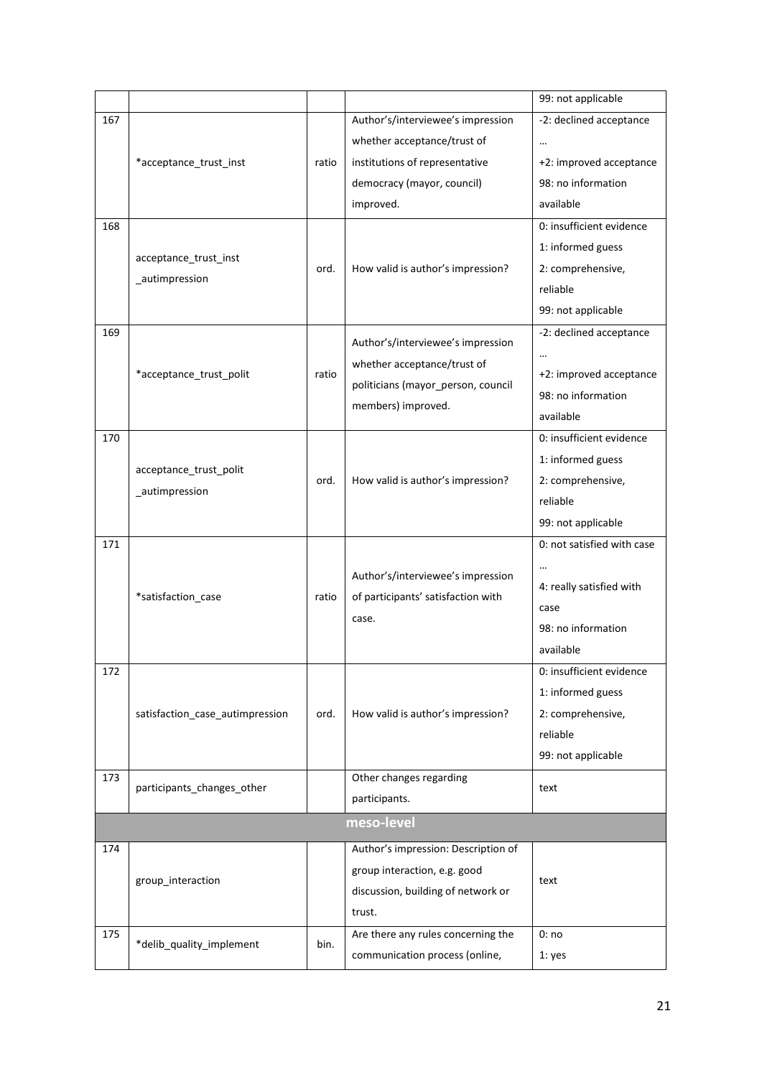|                   |                                 |       |                                             | 99: not applicable         |
|-------------------|---------------------------------|-------|---------------------------------------------|----------------------------|
| 167               |                                 |       | Author's/interviewee's impression           | -2: declined acceptance    |
|                   |                                 |       | whether acceptance/trust of                 | $\cdots$                   |
|                   | *acceptance_trust_inst          | ratio | institutions of representative              | +2: improved acceptance    |
|                   |                                 |       | democracy (mayor, council)                  | 98: no information         |
|                   |                                 |       | improved.                                   | available                  |
| 168               |                                 |       |                                             | 0: insufficient evidence   |
|                   |                                 |       |                                             | 1: informed guess          |
|                   | acceptance_trust_inst           | ord.  | How valid is author's impression?           | 2: comprehensive,          |
|                   | _autimpression                  |       |                                             | reliable                   |
|                   |                                 |       |                                             | 99: not applicable         |
| 169               |                                 |       |                                             | -2: declined acceptance    |
|                   |                                 |       | Author's/interviewee's impression           |                            |
|                   | *acceptance trust polit         | ratio | whether acceptance/trust of                 | +2: improved acceptance    |
|                   |                                 |       | politicians (mayor_person, council          | 98: no information         |
|                   |                                 |       | members) improved.                          | available                  |
| 170               |                                 |       |                                             | 0: insufficient evidence   |
|                   |                                 |       |                                             | 1: informed guess          |
|                   | acceptance_trust_polit          | ord.  | How valid is author's impression?           | 2: comprehensive,          |
|                   | _autimpression                  |       |                                             | reliable                   |
|                   |                                 |       |                                             | 99: not applicable         |
| 171               |                                 |       |                                             | 0: not satisfied with case |
|                   |                                 |       |                                             | $\cdots$                   |
|                   |                                 |       | Author's/interviewee's impression           | 4: really satisfied with   |
|                   | *satisfaction_case              | ratio | of participants' satisfaction with<br>case. | case                       |
|                   |                                 |       |                                             | 98: no information         |
|                   |                                 |       |                                             | available                  |
| 172               |                                 |       |                                             | 0: insufficient evidence   |
|                   |                                 |       |                                             | 1: informed guess          |
|                   | satisfaction case autimpression | ord.  | How valid is author's impression?           | 2: comprehensive,          |
|                   |                                 |       |                                             | reliable                   |
|                   |                                 |       |                                             | 99: not applicable         |
| 173               |                                 |       | Other changes regarding                     |                            |
|                   | participants_changes_other      |       | participants.                               | text                       |
|                   |                                 |       | meso-level                                  |                            |
| 174               |                                 |       | Author's impression: Description of         |                            |
|                   |                                 |       | group interaction, e.g. good                |                            |
| group_interaction |                                 |       | discussion, building of network or          | text                       |
|                   |                                 |       | trust.                                      |                            |
| 175               |                                 |       | Are there any rules concerning the          | 0:no                       |
|                   | *delib_quality_implement        | bin.  | communication process (online,              | 1: yes                     |
|                   |                                 |       |                                             |                            |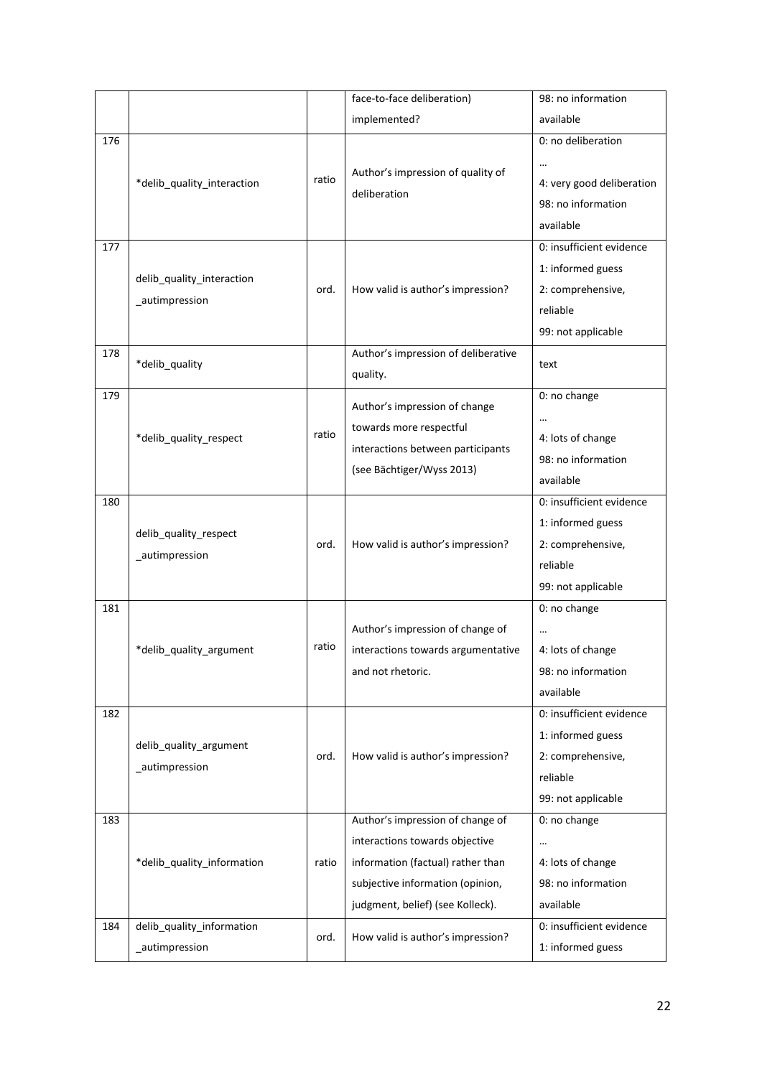|     |                            |       | face-to-face deliberation)          | 98: no information        |
|-----|----------------------------|-------|-------------------------------------|---------------------------|
|     |                            |       | implemented?                        | available                 |
| 176 |                            |       |                                     | 0: no deliberation        |
|     |                            |       | Author's impression of quality of   |                           |
|     | *delib_quality_interaction | ratio | deliberation                        | 4: very good deliberation |
|     |                            |       |                                     | 98: no information        |
|     |                            |       |                                     | available                 |
| 177 |                            |       |                                     | 0: insufficient evidence  |
|     | delib_quality_interaction  |       |                                     | 1: informed guess         |
|     | _autimpression             | ord.  | How valid is author's impression?   | 2: comprehensive,         |
|     |                            |       |                                     | reliable                  |
|     |                            |       |                                     | 99: not applicable        |
| 178 | *delib_quality             |       | Author's impression of deliberative | text                      |
|     |                            |       | quality.                            |                           |
| 179 |                            |       | Author's impression of change       | 0: no change              |
|     |                            |       | towards more respectful             |                           |
|     | *delib quality respect     | ratio | interactions between participants   | 4: lots of change         |
|     |                            |       | (see Bächtiger/Wyss 2013)           | 98: no information        |
|     |                            |       |                                     | available                 |
| 180 |                            |       |                                     | 0: insufficient evidence  |
|     | delib_quality_respect      |       |                                     | 1: informed guess         |
|     | _autimpression             | ord.  | How valid is author's impression?   | 2: comprehensive,         |
|     |                            |       |                                     | reliable                  |
|     |                            |       |                                     | 99: not applicable        |
| 181 |                            |       |                                     | 0: no change              |
|     |                            |       | Author's impression of change of    | $\cdots$                  |
|     | *delib_quality_argument    | ratio | interactions towards argumentative  | 4: lots of change         |
|     |                            |       | and not rhetoric.                   | 98: no information        |
|     |                            |       |                                     | available                 |
| 182 |                            |       |                                     | 0: insufficient evidence  |
|     | delib_quality_argument     |       |                                     | 1: informed guess         |
|     | _autimpression             | ord.  | How valid is author's impression?   | 2: comprehensive,         |
|     |                            |       |                                     | reliable                  |
|     |                            |       |                                     | 99: not applicable        |
| 183 |                            |       | Author's impression of change of    | 0: no change              |
|     |                            |       | interactions towards objective      |                           |
|     | *delib quality information | ratio | information (factual) rather than   | 4: lots of change         |
|     |                            |       | subjective information (opinion,    | 98: no information        |
|     |                            |       | judgment, belief) (see Kolleck).    | available                 |
| 184 | delib_quality_information  | ord.  | How valid is author's impression?   | 0: insufficient evidence  |
|     | _autimpression             |       |                                     | 1: informed guess         |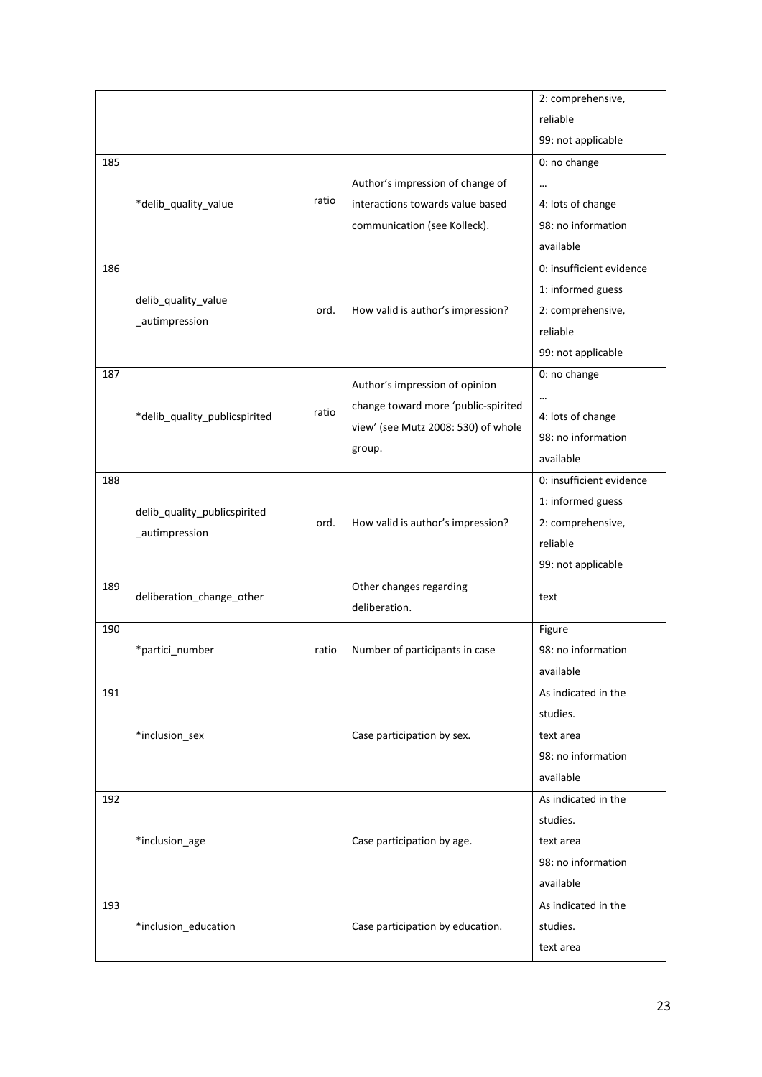|     |                               |       |                                     | 2: comprehensive,        |
|-----|-------------------------------|-------|-------------------------------------|--------------------------|
|     |                               |       |                                     | reliable                 |
|     |                               |       |                                     | 99: not applicable       |
| 185 |                               |       |                                     | 0: no change             |
|     |                               |       | Author's impression of change of    | $\ddotsc$                |
|     | *delib_quality_value          | ratio | interactions towards value based    | 4: lots of change        |
|     |                               |       | communication (see Kolleck).        | 98: no information       |
|     |                               |       |                                     | available                |
| 186 |                               |       |                                     | 0: insufficient evidence |
|     |                               |       |                                     | 1: informed guess        |
|     | delib_quality_value           | ord.  | How valid is author's impression?   | 2: comprehensive,        |
|     | _autimpression                |       |                                     | reliable                 |
|     |                               |       |                                     | 99: not applicable       |
| 187 |                               |       |                                     | 0: no change             |
|     |                               |       | Author's impression of opinion      | $\cdots$                 |
|     | *delib_quality_publicspirited | ratio | change toward more 'public-spirited | 4: lots of change        |
|     |                               |       | view' (see Mutz 2008: 530) of whole | 98: no information       |
|     |                               |       | group.                              | available                |
| 188 |                               |       |                                     | 0: insufficient evidence |
|     |                               |       |                                     | 1: informed guess        |
|     | delib_quality_publicspirited  | ord.  | How valid is author's impression?   | 2: comprehensive,        |
|     | _autimpression                |       |                                     | reliable                 |
|     |                               |       |                                     | 99: not applicable       |
| 189 |                               |       | Other changes regarding             |                          |
|     | deliberation_change_other     |       | deliberation.                       | text                     |
| 190 |                               |       |                                     | Figure                   |
|     | *partici_number               | ratio | Number of participants in case      | 98: no information       |
|     |                               |       |                                     | available                |
| 191 |                               |       |                                     | As indicated in the      |
|     |                               |       |                                     | studies.                 |
|     | *inclusion_sex                |       | Case participation by sex.          | text area                |
|     |                               |       |                                     | 98: no information       |
|     |                               |       |                                     | available                |
| 192 |                               |       |                                     | As indicated in the      |
|     |                               |       |                                     | studies.                 |
|     | *inclusion_age                |       | Case participation by age.          | text area                |
|     |                               |       |                                     | 98: no information       |
|     |                               |       |                                     | available                |
| 193 |                               |       |                                     | As indicated in the      |
|     | *inclusion_education          |       | Case participation by education.    | studies.                 |
|     |                               |       |                                     | text area                |
|     |                               |       |                                     |                          |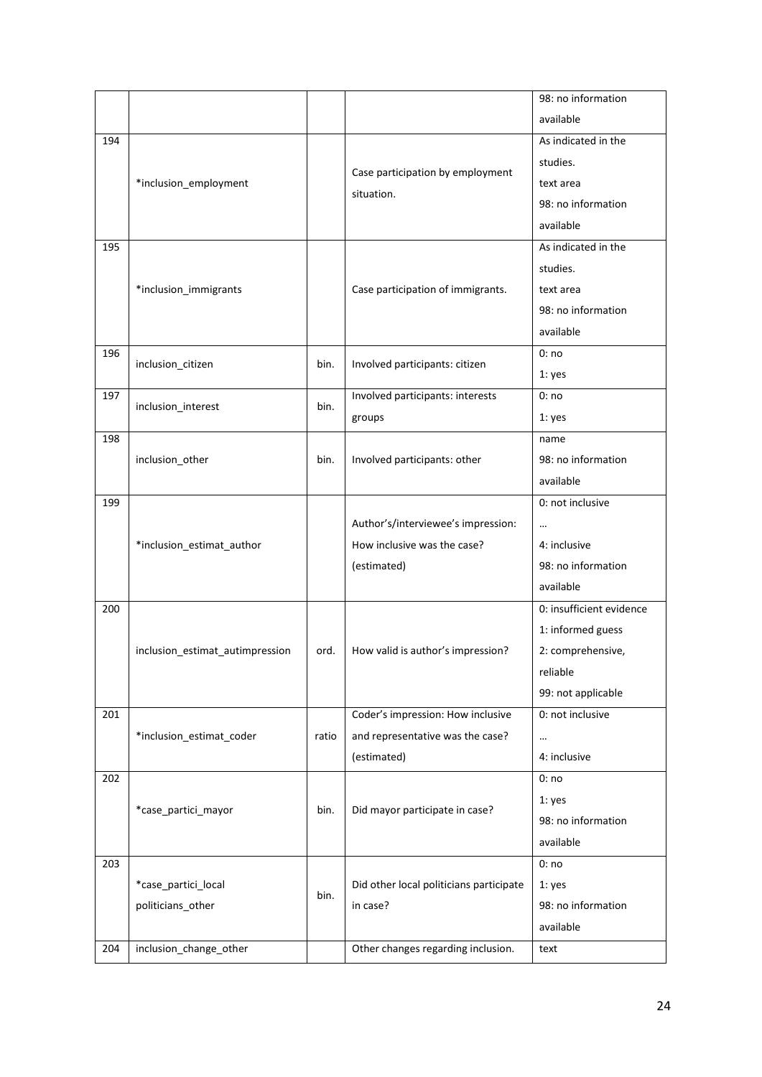|     |                                 |       |                                         | 98: no information       |
|-----|---------------------------------|-------|-----------------------------------------|--------------------------|
|     |                                 |       |                                         | available                |
| 194 |                                 |       |                                         | As indicated in the      |
|     |                                 |       |                                         | studies.                 |
|     | *inclusion_employment           |       | Case participation by employment        | text area                |
|     |                                 |       | situation.                              | 98: no information       |
|     |                                 |       |                                         | available                |
| 195 |                                 |       |                                         | As indicated in the      |
|     |                                 |       |                                         | studies.                 |
|     | *inclusion_immigrants           |       | Case participation of immigrants.       | text area                |
|     |                                 |       |                                         | 98: no information       |
|     |                                 |       |                                         | available                |
| 196 |                                 |       |                                         | 0:no                     |
|     | inclusion_citizen               | bin.  | Involved participants: citizen          | 1: yes                   |
| 197 | inclusion interest              | bin.  | Involved participants: interests        | 0:no                     |
|     |                                 |       | groups                                  | 1: yes                   |
| 198 |                                 |       |                                         | name                     |
|     | inclusion_other                 | bin.  | Involved participants: other            | 98: no information       |
|     |                                 |       |                                         | available                |
| 199 |                                 |       |                                         | 0: not inclusive         |
|     |                                 |       | Author's/interviewee's impression:      |                          |
|     | *inclusion_estimat_author       |       | How inclusive was the case?             | 4: inclusive             |
|     |                                 |       | (estimated)                             | 98: no information       |
|     |                                 |       |                                         | available                |
| 200 |                                 |       |                                         | 0: insufficient evidence |
|     |                                 |       |                                         | 1: informed guess        |
|     | inclusion_estimat_autimpression | ord.  | How valid is author's impression?       | 2: comprehensive,        |
|     |                                 |       |                                         | reliable                 |
|     |                                 |       |                                         | 99: not applicable       |
| 201 |                                 |       | Coder's impression: How inclusive       | 0: not inclusive         |
|     | *inclusion_estimat_coder        | ratio | and representative was the case?        | $\cdots$                 |
|     |                                 |       | (estimated)                             | 4: inclusive             |
| 202 |                                 |       |                                         | 0:no                     |
|     | *case partici mayor             | bin.  | Did mayor participate in case?          | 1: yes                   |
|     |                                 |       |                                         | 98: no information       |
|     |                                 |       |                                         | available                |
| 203 |                                 |       |                                         | 0:no                     |
|     | *case_partici_local             | bin.  | Did other local politicians participate | 1: yes                   |
|     | politicians_other               |       | in case?                                | 98: no information       |
|     |                                 |       |                                         | available                |
| 204 | inclusion_change_other          |       | Other changes regarding inclusion.      | text                     |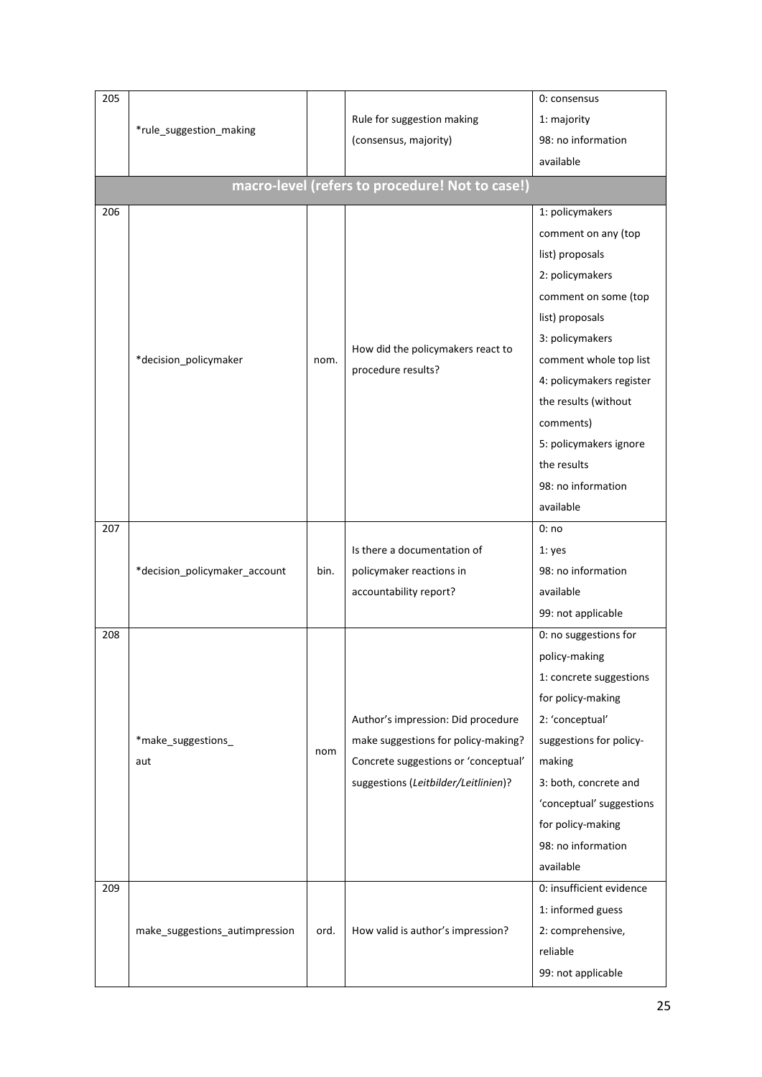| 205 |                                |      |                                                 | 0: consensus             |
|-----|--------------------------------|------|-------------------------------------------------|--------------------------|
|     |                                |      | Rule for suggestion making                      | 1: majority              |
|     | *rule suggestion making        |      | (consensus, majority)                           | 98: no information       |
|     |                                |      |                                                 | available                |
|     |                                |      | macro-level (refers to procedure! Not to case!) |                          |
| 206 |                                |      |                                                 | 1: policymakers          |
|     |                                |      |                                                 | comment on any (top      |
|     |                                |      |                                                 | list) proposals          |
|     |                                |      |                                                 | 2: policymakers          |
|     |                                |      |                                                 | comment on some (top     |
|     |                                |      |                                                 | list) proposals          |
|     |                                |      |                                                 | 3: policymakers          |
|     | *decision_policymaker          | nom. | How did the policymakers react to               | comment whole top list   |
|     |                                |      | procedure results?                              | 4: policymakers register |
|     |                                |      |                                                 | the results (without     |
|     |                                |      |                                                 | comments)                |
|     |                                |      |                                                 | 5: policymakers ignore   |
|     |                                |      |                                                 | the results              |
|     |                                |      |                                                 | 98: no information       |
|     |                                |      |                                                 | available                |
| 207 |                                |      |                                                 | 0:no                     |
|     |                                |      | Is there a documentation of                     | 1: yes                   |
|     | *decision_policymaker_account  | bin. | policymaker reactions in                        | 98: no information       |
|     |                                |      | accountability report?                          | available                |
|     |                                |      |                                                 | 99: not applicable       |
| 208 |                                |      |                                                 | 0: no suggestions for    |
|     |                                |      |                                                 | policy-making            |
|     |                                |      |                                                 | 1: concrete suggestions  |
|     |                                |      |                                                 | for policy-making        |
|     |                                |      | Author's impression: Did procedure              | 2: 'conceptual'          |
|     | *make_suggestions_             | nom  | make suggestions for policy-making?             | suggestions for policy-  |
|     | aut                            |      | Concrete suggestions or 'conceptual'            | making                   |
|     |                                |      | suggestions (Leitbilder/Leitlinien)?            | 3: both, concrete and    |
|     |                                |      |                                                 | 'conceptual' suggestions |
|     |                                |      |                                                 | for policy-making        |
|     |                                |      |                                                 | 98: no information       |
|     |                                |      |                                                 | available                |
| 209 |                                |      |                                                 | 0: insufficient evidence |
|     |                                |      |                                                 | 1: informed guess        |
|     | make_suggestions_autimpression | ord. | How valid is author's impression?               | 2: comprehensive,        |
|     |                                |      |                                                 | reliable                 |
|     |                                |      |                                                 | 99: not applicable       |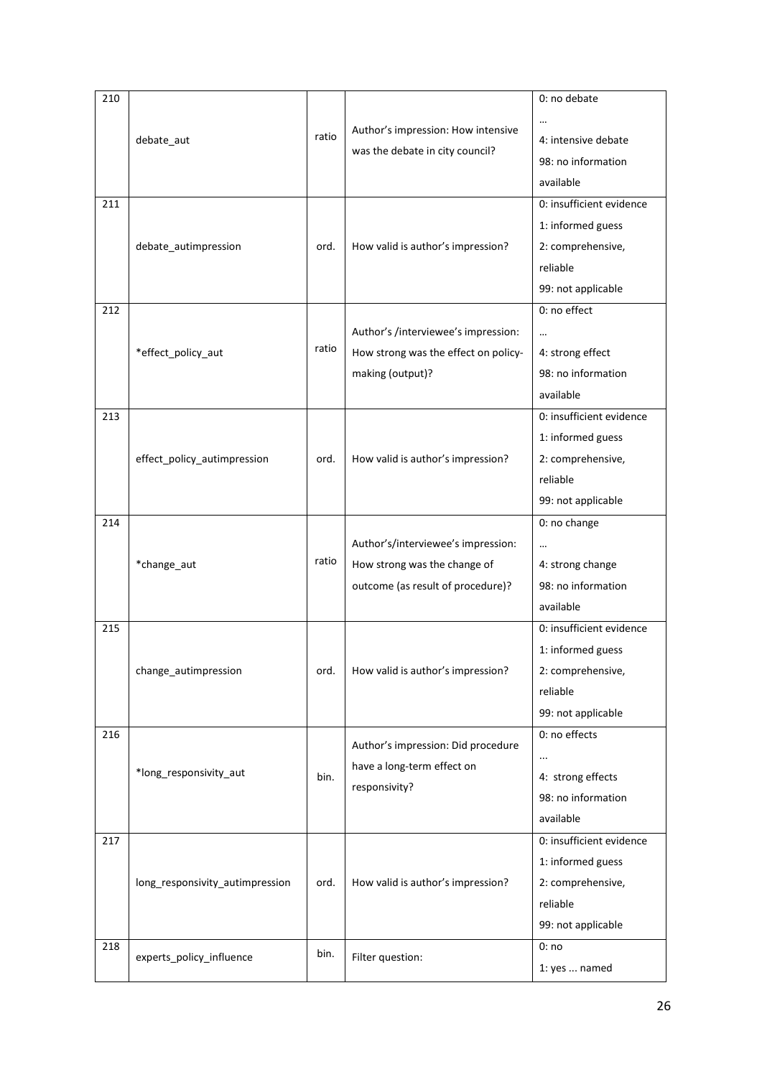| 210 |                                 |       |                                      | 0: no debate             |
|-----|---------------------------------|-------|--------------------------------------|--------------------------|
|     |                                 |       |                                      |                          |
|     | debate_aut                      | ratio | Author's impression: How intensive   | 4: intensive debate      |
|     |                                 |       | was the debate in city council?      | 98: no information       |
|     |                                 |       |                                      | available                |
| 211 |                                 |       |                                      | 0: insufficient evidence |
|     |                                 |       |                                      | 1: informed guess        |
|     | debate_autimpression            | ord.  | How valid is author's impression?    | 2: comprehensive,        |
|     |                                 |       |                                      | reliable                 |
|     |                                 |       |                                      | 99: not applicable       |
| 212 |                                 |       |                                      | 0: no effect             |
|     |                                 |       | Author's /interviewee's impression:  | $\ddotsc$                |
|     | *effect_policy_aut              | ratio | How strong was the effect on policy- | 4: strong effect         |
|     |                                 |       | making (output)?                     | 98: no information       |
|     |                                 |       |                                      | available                |
| 213 |                                 |       |                                      | 0: insufficient evidence |
|     |                                 |       |                                      | 1: informed guess        |
|     | effect_policy_autimpression     | ord.  | How valid is author's impression?    | 2: comprehensive,        |
|     |                                 |       |                                      | reliable                 |
|     |                                 |       |                                      | 99: not applicable       |
| 214 |                                 |       |                                      | 0: no change             |
|     |                                 |       | Author's/interviewee's impression:   | $\cdots$                 |
|     | *change_aut                     | ratio | How strong was the change of         | 4: strong change         |
|     |                                 |       | outcome (as result of procedure)?    | 98: no information       |
|     |                                 |       |                                      | available                |
| 215 |                                 |       |                                      | 0: insufficient evidence |
|     |                                 |       |                                      | 1: informed guess        |
|     | change autimpression            | ord.  | How valid is author's impression?    | 2: comprehensive,        |
|     |                                 |       |                                      | reliable                 |
|     |                                 |       |                                      | 99: not applicable       |
| 216 |                                 |       |                                      | 0: no effects            |
|     |                                 |       | Author's impression: Did procedure   | $\cdots$                 |
|     | *long_responsivity_aut          | bin.  | have a long-term effect on           | 4: strong effects        |
|     |                                 |       | responsivity?                        | 98: no information       |
|     |                                 |       |                                      | available                |
| 217 |                                 |       |                                      | 0: insufficient evidence |
|     |                                 |       |                                      | 1: informed guess        |
|     | long_responsivity_autimpression | ord.  | How valid is author's impression?    | 2: comprehensive,        |
|     |                                 |       |                                      | reliable                 |
|     |                                 |       |                                      | 99: not applicable       |
| 218 |                                 | bin.  |                                      | 0:no                     |
|     | experts_policy_influence        |       | Filter question:                     | 1: yes  named            |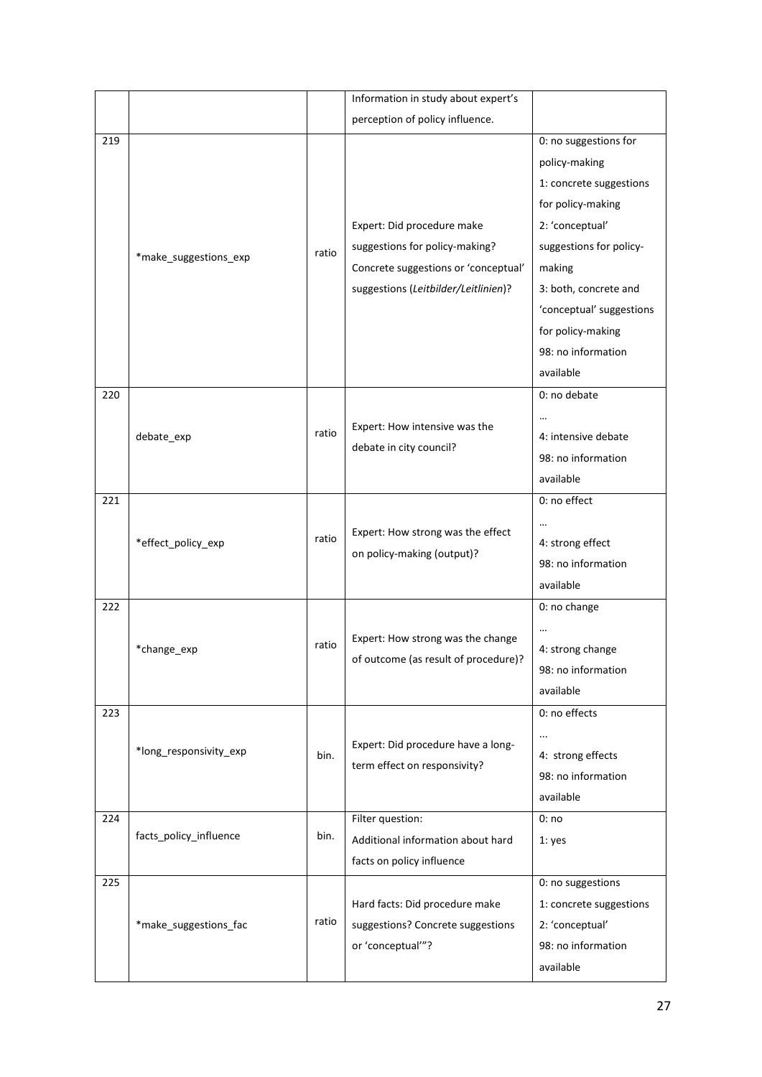|     |                        |       | Information in study about expert's  |                          |
|-----|------------------------|-------|--------------------------------------|--------------------------|
|     |                        |       | perception of policy influence.      |                          |
| 219 |                        |       |                                      | 0: no suggestions for    |
|     |                        |       |                                      | policy-making            |
|     |                        |       |                                      | 1: concrete suggestions  |
|     |                        |       |                                      | for policy-making        |
|     |                        |       | Expert: Did procedure make           | 2: 'conceptual'          |
|     | *make_suggestions_exp  | ratio | suggestions for policy-making?       | suggestions for policy-  |
|     |                        |       | Concrete suggestions or 'conceptual' | making                   |
|     |                        |       | suggestions (Leitbilder/Leitlinien)? | 3: both, concrete and    |
|     |                        |       |                                      | 'conceptual' suggestions |
|     |                        |       |                                      | for policy-making        |
|     |                        |       |                                      | 98: no information       |
|     |                        |       |                                      | available                |
| 220 |                        |       |                                      | 0: no debate             |
|     |                        |       | Expert: How intensive was the        |                          |
|     | debate_exp             | ratio | debate in city council?              | 4: intensive debate      |
|     |                        |       |                                      | 98: no information       |
|     |                        |       |                                      | available                |
| 221 |                        |       |                                      | 0: no effect             |
|     |                        |       | Expert: How strong was the effect    |                          |
|     | *effect_policy_exp     | ratio | on policy-making (output)?           | 4: strong effect         |
|     |                        |       |                                      | 98: no information       |
|     |                        |       |                                      | available                |
| 222 |                        |       |                                      | 0: no change             |
|     |                        |       | Expert: How strong was the change    |                          |
|     | *change_exp            | ratio | of outcome (as result of procedure)? | 4: strong change         |
|     |                        |       |                                      | 98: no information       |
|     |                        |       |                                      | available                |
| 223 |                        |       |                                      | 0: no effects            |
|     |                        |       | Expert: Did procedure have a long-   | $\cdots$                 |
|     | *long_responsivity_exp | bin.  | term effect on responsivity?         | 4: strong effects        |
|     |                        |       |                                      | 98: no information       |
|     |                        |       |                                      | available                |
| 224 |                        |       | Filter question:                     | 0:no                     |
|     | facts_policy_influence | bin.  | Additional information about hard    | 1: yes                   |
|     |                        |       | facts on policy influence            |                          |
| 225 |                        |       |                                      | 0: no suggestions        |
|     |                        |       | Hard facts: Did procedure make       | 1: concrete suggestions  |
|     | *make_suggestions_fac  | ratio | suggestions? Concrete suggestions    | 2: 'conceptual'          |
|     |                        |       | or 'conceptual'"?                    | 98: no information       |
|     |                        |       |                                      | available                |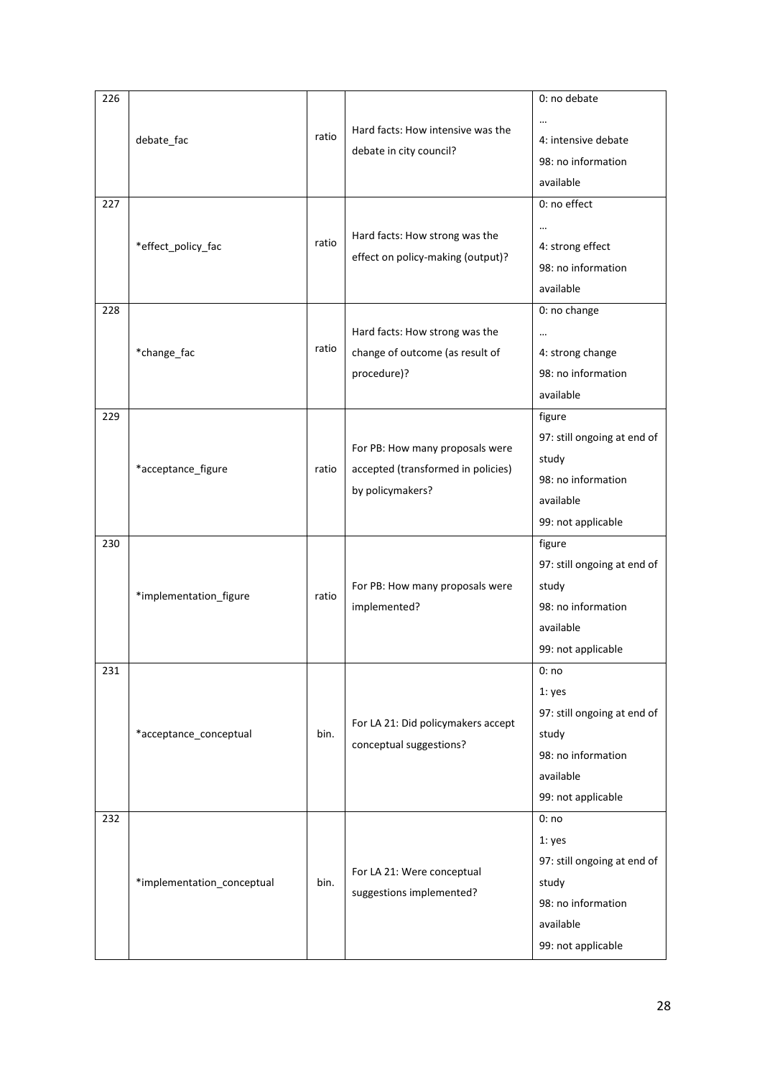| 226 |                            |       |                                                                                           | 0: no debate                                                                                                    |
|-----|----------------------------|-------|-------------------------------------------------------------------------------------------|-----------------------------------------------------------------------------------------------------------------|
|     | debate_fac                 | ratio | Hard facts: How intensive was the<br>debate in city council?                              | $\cdots$<br>4: intensive debate<br>98: no information<br>available                                              |
| 227 | *effect_policy_fac         | ratio | Hard facts: How strong was the<br>effect on policy-making (output)?                       | 0: no effect<br>$\cdots$<br>4: strong effect<br>98: no information<br>available                                 |
| 228 | *change_fac                | ratio | Hard facts: How strong was the<br>change of outcome (as result of<br>procedure)?          | 0: no change<br>$\ddotsc$<br>4: strong change<br>98: no information<br>available                                |
| 229 | *acceptance_figure         | ratio | For PB: How many proposals were<br>accepted (transformed in policies)<br>by policymakers? | figure<br>97: still ongoing at end of<br>study<br>98: no information<br>available<br>99: not applicable         |
| 230 | *implementation_figure     | ratio | For PB: How many proposals were<br>implemented?                                           | figure<br>97: still ongoing at end of<br>study<br>98: no information<br>available<br>99: not applicable         |
| 231 | *acceptance_conceptual     | bin.  | For LA 21: Did policymakers accept<br>conceptual suggestions?                             | 0:no<br>1: yes<br>97: still ongoing at end of<br>study<br>98: no information<br>available<br>99: not applicable |
| 232 | *implementation_conceptual | bin.  | For LA 21: Were conceptual<br>suggestions implemented?                                    | 0:no<br>1: yes<br>97: still ongoing at end of<br>study<br>98: no information<br>available<br>99: not applicable |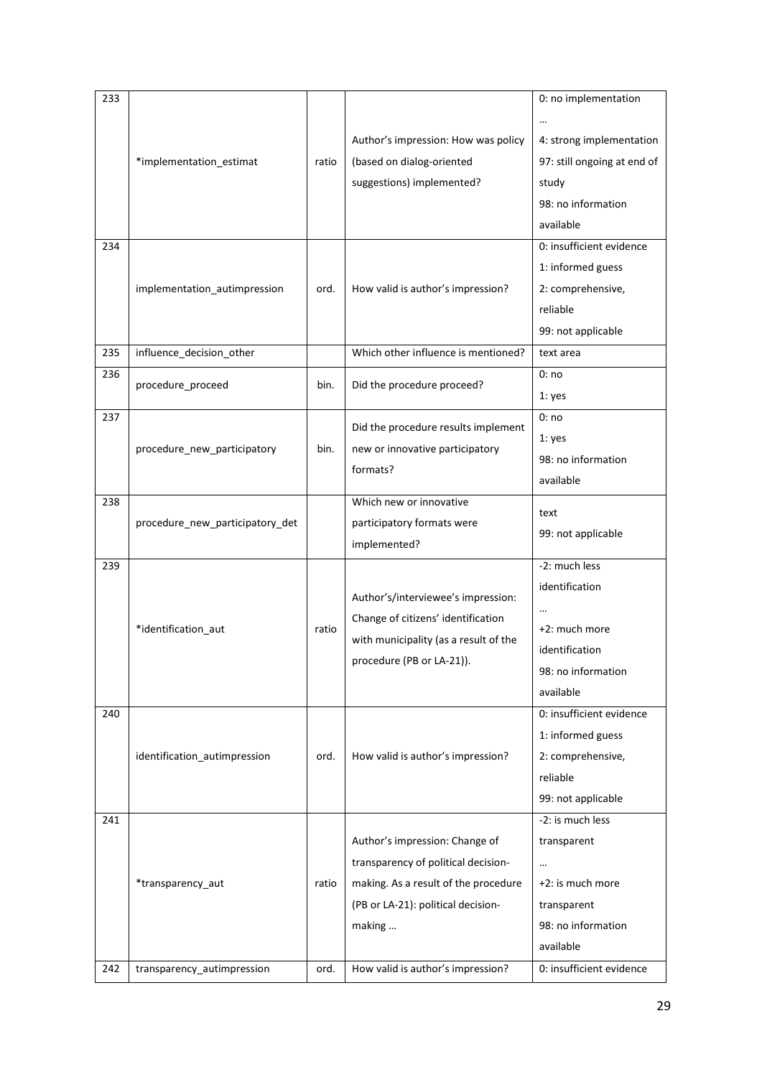| 4: strong implementation    |
|-----------------------------|
| 97: still ongoing at end of |
|                             |
| 98: no information          |
| available                   |
| 0: insufficient evidence    |
| 1: informed guess           |
| 2: comprehensive,           |
| reliable                    |
| 99: not applicable          |
| text area                   |
|                             |
|                             |
|                             |
|                             |
|                             |
| 98: no information          |
| available                   |
|                             |
| 99: not applicable          |
|                             |
| -2: much less               |
| identification              |
|                             |
| +2: much more               |
| identification              |
| 98: no information          |
| available                   |
|                             |
| 0: insufficient evidence    |
| 1: informed guess           |
| 2: comprehensive,           |
| reliable                    |
| 99: not applicable          |
| -2: is much less            |
| transparent                 |
|                             |
| +2: is much more            |
| transparent                 |
| 98: no information          |
| available                   |
|                             |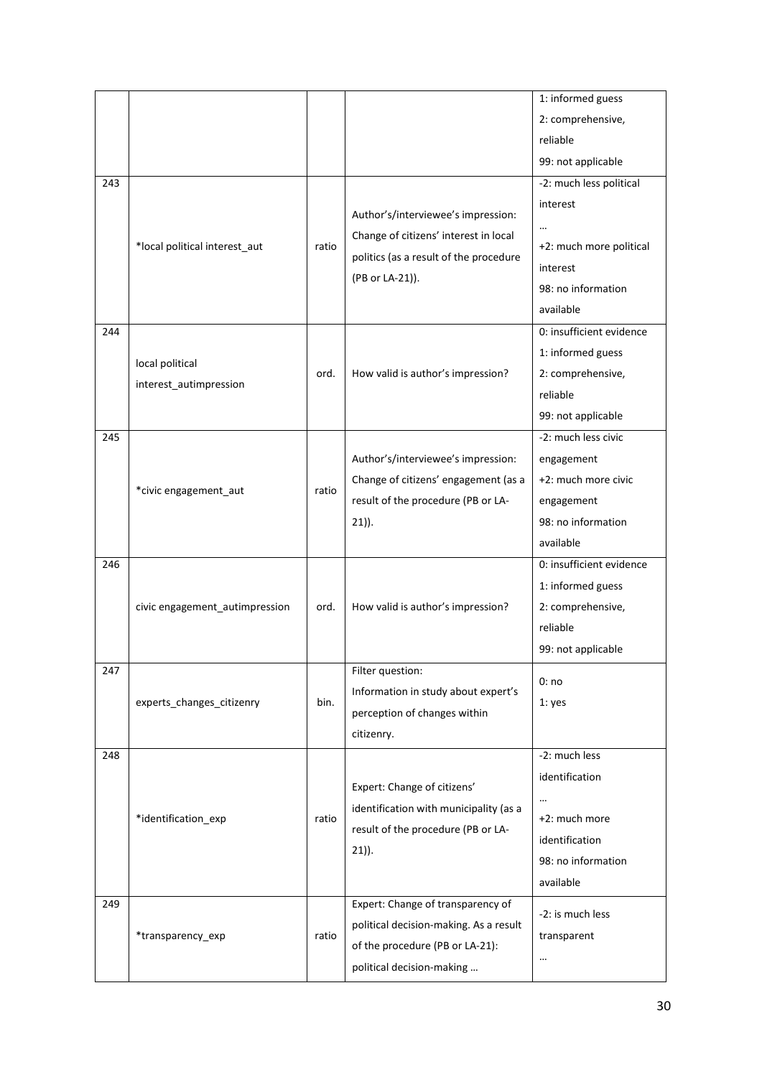|     |                                |       |                                        | 1: informed guess        |
|-----|--------------------------------|-------|----------------------------------------|--------------------------|
|     |                                |       |                                        | 2: comprehensive,        |
|     |                                |       |                                        | reliable                 |
|     |                                |       |                                        | 99: not applicable       |
| 243 |                                |       |                                        | -2: much less political  |
|     |                                |       |                                        | interest                 |
|     |                                |       | Author's/interviewee's impression:     |                          |
|     | *local political interest_aut  | ratio | Change of citizens' interest in local  | +2: much more political  |
|     |                                |       | politics (as a result of the procedure | interest                 |
|     |                                |       | (PB or LA-21)).                        | 98: no information       |
|     |                                |       |                                        | available                |
| 244 |                                |       |                                        | 0: insufficient evidence |
|     |                                |       |                                        | 1: informed guess        |
|     | local political                | ord.  | How valid is author's impression?      | 2: comprehensive,        |
|     | interest autimpression         |       |                                        | reliable                 |
|     |                                |       |                                        | 99: not applicable       |
| 245 |                                |       |                                        | -2: much less civic      |
|     |                                |       | Author's/interviewee's impression:     | engagement               |
|     | *civic engagement_aut          | ratio | Change of citizens' engagement (as a   | +2: much more civic      |
|     |                                |       | result of the procedure (PB or LA-     | engagement               |
|     |                                |       | $21)$ ).                               | 98: no information       |
|     |                                |       |                                        | available                |
| 246 |                                |       |                                        | 0: insufficient evidence |
|     |                                |       |                                        | 1: informed guess        |
|     | civic engagement autimpression | ord.  | How valid is author's impression?      | 2: comprehensive,        |
|     |                                |       |                                        | reliable                 |
|     |                                |       |                                        | 99: not applicable       |
| 247 |                                |       | Filter question:                       | 0:no                     |
|     | experts_changes_citizenry      | bin.  | Information in study about expert's    | 1: yes                   |
|     |                                |       | perception of changes within           |                          |
|     |                                |       | citizenry.                             |                          |
| 248 |                                |       |                                        | -2: much less            |
|     |                                |       | Expert: Change of citizens'            | identification           |
|     |                                |       | identification with municipality (as a |                          |
|     | *identification_exp            | ratio | result of the procedure (PB or LA-     | +2: much more            |
|     |                                |       | $21)$ ).                               | identification           |
|     |                                |       |                                        | 98: no information       |
|     |                                |       |                                        | available                |
| 249 |                                |       | Expert: Change of transparency of      | -2: is much less         |
|     | *transparency_exp              | ratio | political decision-making. As a result | transparent              |
|     |                                |       | of the procedure (PB or LA-21):        | $\cdots$                 |
|     |                                |       | political decision-making              |                          |